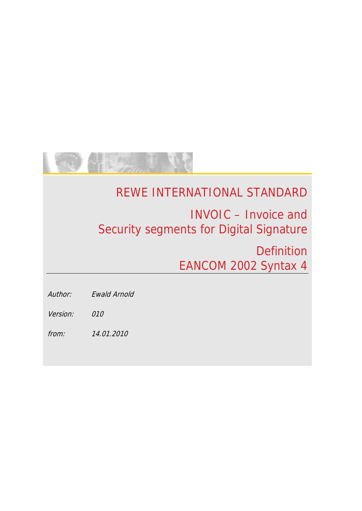

# REWE INTERNATIONAL STANDARD

# INVOIC – Invoice and Security segments for Digital Signature

# Definition EANCOM 2002 Syntax 4

Author: Ewald Arnold

Version: 010

from: 14.01.2010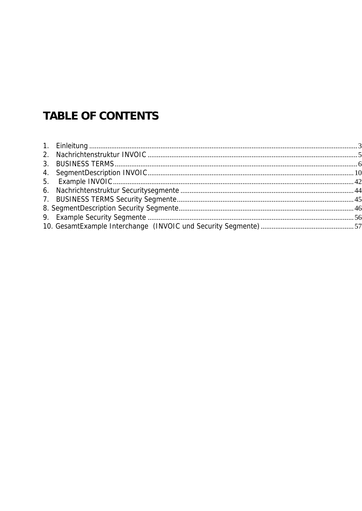# **TABLE OF CONTENTS**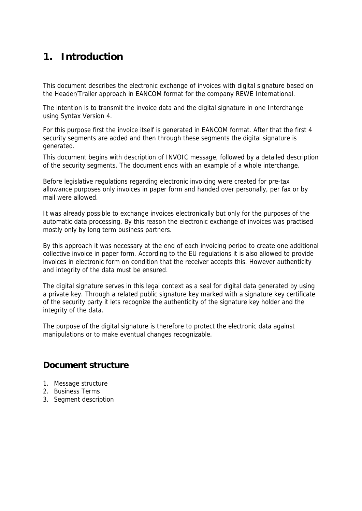## **1. Introduction**

This document describes the electronic exchange of invoices with digital signature based on the Header/Trailer approach in EANCOM format for the company REWE International.

The intention is to transmit the invoice data and the digital signature in one Interchange using Syntax Version 4.

For this purpose first the invoice itself is generated in EANCOM format. After that the first 4 security segments are added and then through these segments the digital signature is generated.

This document begins with description of INVOIC message, followed by a detailed description of the security segments. The document ends with an example of a whole interchange.

Before legislative regulations regarding electronic invoicing were created for pre-tax allowance purposes only invoices in paper form and handed over personally, per fax or by mail were allowed.

It was already possible to exchange invoices electronically but only for the purposes of the automatic data processing. By this reason the electronic exchange of invoices was practised mostly only by long term business partners.

By this approach it was necessary at the end of each invoicing period to create one additional collective invoice in paper form. According to the EU regulations it is also allowed to provide invoices in electronic form on condition that the receiver accepts this. However authenticity and integrity of the data must be ensured.

The digital signature serves in this legal context as a seal for digital data generated by using a private key. Through a related public signature key marked with a signature key certificate of the security party it lets recognize the authenticity of the signature key holder and the integrity of the data.

The purpose of the digital signature is therefore to protect the electronic data against manipulations or to make eventual changes recognizable.

#### **Document structure**

- 1. Message structure
- 2. Business Terms
- 3. Segment description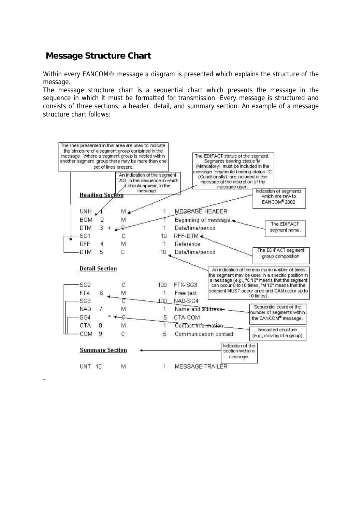#### **Message Structure Chart**

Within every EANCOM® message a diagram is presented which explains the structure of the message.

The message structure chart is a sequential chart which presents the message in the sequence in which it must be formatted for transmission. Every message is structured and consists of three sections; a header, detail, and summary section. An example of a message structure chart follows:

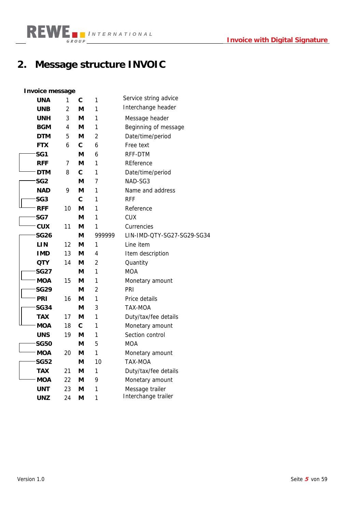# *Invoice with Digital Signature*



## **2. Message structure INVOIC**

#### **Invoice message**

| <b>UNA</b>      | $\mathbf{1}$   | C           | 1              | Service string advice      |
|-----------------|----------------|-------------|----------------|----------------------------|
| <b>UNB</b>      | $\overline{2}$ | M           | 1              | Interchange header         |
| <b>UNH</b>      | 3              | М           | 1              | Message header             |
| <b>BGM</b>      | 4              | M           | 1              | Beginning of message       |
| <b>DTM</b>      | 5              | M           | $\overline{2}$ | Date/time/period           |
| <b>FTX</b>      | 6              | $\mathbf c$ | 6              | Free text                  |
| SG <sub>1</sub> |                | М           | 6              | RFF-DTM                    |
| <b>RFF</b>      | 7              | М           | 1              | REference                  |
| <b>DTM</b>      | 8              | C           | 1              | Date/time/period           |
| SG <sub>2</sub> |                | М           | 7              | NAD-SG3                    |
| <b>NAD</b>      | 9              | М           | 1              | Name and address           |
| SG <sub>3</sub> |                | $\mathbf c$ | 1              | <b>RFF</b>                 |
| <b>RFF</b>      | 10             | М           | 1              | Reference                  |
| SG7             |                | М           | 1              | <b>CUX</b>                 |
| <b>CUX</b>      | 11             | М           | 1              | Currencies                 |
| <b>SG26</b>     |                | М           | 999999         | LIN-IMD-OTY-SG27-SG29-SG34 |
| LIN             | 12             | М           | 1              | Line item                  |
| IMD.            | 13             | М           | 4              | Item description           |
| <b>QTY</b>      | 14             | М           | 2              | Quantity                   |
| SG27            |                | М           | 1              | <b>MOA</b>                 |
| <b>MOA</b>      | 15             | М           | 1              | Monetary amount            |
| <b>SG29</b>     |                | М           | $\overline{2}$ | <b>PRI</b>                 |
| <b>PRI</b>      | 16             | М           | 1              | Price details              |
| SG34            |                | М           | 3              | AOM-XAT                    |
| <b>TAX</b>      | 17             | М           | 1              | Duty/tax/fee details       |
| <b>MOA</b>      | 18             | C           | 1              | Monetary amount            |
| <b>UNS</b>      | 19             | М           | 1              | Section control            |
| <b>SG50</b>     |                | М           | 5              | <b>MOA</b>                 |
| <b>MOA</b>      | 20             | М           | 1              | Monetary amount            |
| <b>SG52</b>     |                | М           | 10             | TAX-MOA                    |
| <b>TAX</b>      | 21             | М           | 1              | Duty/tax/fee details       |
| <b>MOA</b>      | 22             | М           | 9              | Monetary amount            |
| <b>UNT</b>      | 23             | М           | 1              | Message trailer            |
| UNZ             | 24             | М           | 1              | Interchange trailer        |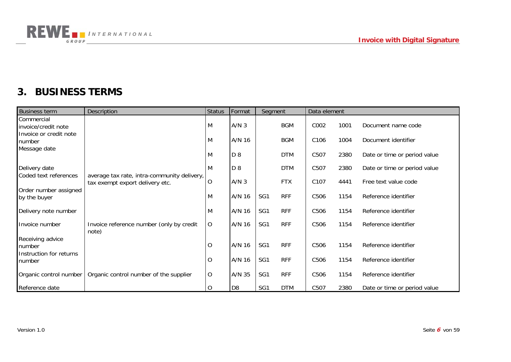

#### **3. BUSINESS TERMS**

| <b>Business term</b>                   | Description                                       | <b>Status</b>  | Format           | Segment         |            | Data element      |      |                              |
|----------------------------------------|---------------------------------------------------|----------------|------------------|-----------------|------------|-------------------|------|------------------------------|
| Commercial<br>invoice/credit note      |                                                   | M              | A/N <sub>3</sub> |                 | <b>BGM</b> | C <sub>0</sub> 02 | 1001 | Document name code           |
| Invoice or credit note<br>number       |                                                   | M              | A/N 16           |                 | <b>BGM</b> | C106              | 1004 | Document identifier          |
| Message date                           |                                                   | M              | D 8              |                 | <b>DTM</b> | C <sub>507</sub>  | 2380 | Date or time or period value |
| Delivery date<br>Coded text references | average tax rate, intra-community delivery,       | M              | D 8              |                 | <b>DTM</b> | C507              | 2380 | Date or time or period value |
|                                        | tax exempt export delivery etc.                   | O              | A/N <sub>3</sub> |                 | <b>FTX</b> | C107              | 4441 | Free text value code         |
| Order number assigned<br>by the buyer  |                                                   | M              | A/N 16           | SG <sub>1</sub> | <b>RFF</b> | C506              | 1154 | Reference identifier         |
| Delivery note number                   |                                                   | M              | A/N 16           | SG1             | <b>RFF</b> | C506              | 1154 | Reference identifier         |
| Invoice number                         | Invoice reference number (only by credit<br>note) | 0              | A/N 16           | SG1             | <b>RFF</b> | C506              | 1154 | Reference identifier         |
| Receiving advice<br>number             |                                                   | 0              | A/N 16           | SG <sub>1</sub> | <b>RFF</b> | C506              | 1154 | Reference identifier         |
| Instruction for returns<br>number      |                                                   | 0              | A/N 16           | SG <sub>1</sub> | <b>RFF</b> | C506              | 1154 | Reference identifier         |
| Organic control number                 | Organic control number of the supplier            | $\overline{O}$ | A/N 35           | SG1             | <b>RFF</b> | C506              | 1154 | Reference identifier         |
| Reference date                         |                                                   | 0              | D <sub>8</sub>   | SG1             | <b>DTM</b> | C507              | 2380 | Date or time or period value |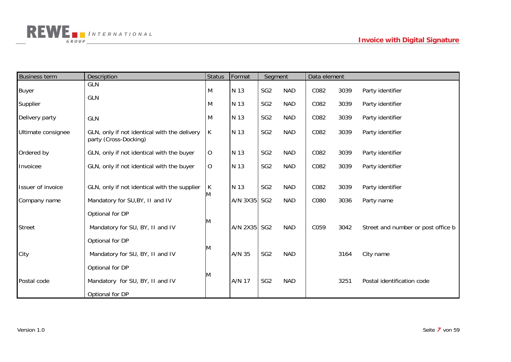

| <b>Business term</b> | Description                                                           | <b>Status</b>  | Format       | Segment         |            | Data element |      |                                    |
|----------------------|-----------------------------------------------------------------------|----------------|--------------|-----------------|------------|--------------|------|------------------------------------|
| <b>Buyer</b>         | <b>GLN</b>                                                            | M              | N 13         | SG <sub>2</sub> | <b>NAD</b> | C082         | 3039 | Party identifier                   |
| Supplier             | <b>GLN</b>                                                            | M              | N 13         | SG <sub>2</sub> | <b>NAD</b> | C082         | 3039 | Party identifier                   |
| Delivery party       | <b>GLN</b>                                                            | M              | N 13         | SG <sub>2</sub> | <b>NAD</b> | C082         | 3039 | Party identifier                   |
| Ultimate consignee   | GLN, only if not identical with the delivery<br>party (Cross-Docking) | K              | N 13         | SG <sub>2</sub> | <b>NAD</b> | C082         | 3039 | Party identifier                   |
| Ordered by           | GLN, only if not identical with the buyer                             | $\overline{O}$ | N 13         | SG <sub>2</sub> | <b>NAD</b> | C082         | 3039 | Party identifier                   |
| Invoicee             | GLN, only if not identical with the buyer                             | $\overline{O}$ | N 13         | SG <sub>2</sub> | <b>NAD</b> | C082         | 3039 | Party identifier                   |
| Issuer of invoice    | GLN, only if not identical with the supplier                          | K <br>M        | N 13         | SG <sub>2</sub> | <b>NAD</b> | C082         | 3039 | Party identifier                   |
| Company name         | Mandatory for SU, BY, II and IV                                       |                | A/N 3X35     | SG <sub>2</sub> | <b>NAD</b> | C080         | 3036 | Party name                         |
|                      | Optional for DP                                                       | M              |              |                 |            |              |      |                                    |
| <b>Street</b>        | Mandatory for SU, BY, II and IV                                       |                | A/N 2X35 SG2 |                 | <b>NAD</b> | C059         | 3042 | Street and number or post office b |
|                      | Optional for DP                                                       | M              |              |                 |            |              |      |                                    |
| City                 | Mandatory for SU, BY, II and IV                                       |                | A/N 35       | SG <sub>2</sub> | <b>NAD</b> |              | 3164 | City name                          |
|                      | Optional for DP                                                       | M              |              |                 |            |              |      |                                    |
| Postal code          | Mandatory for SU, BY, II and IV                                       |                | A/N 17       | SG <sub>2</sub> | <b>NAD</b> |              | 3251 | Postal identification code         |
|                      | Optional for DP                                                       |                |              |                 |            |              |      |                                    |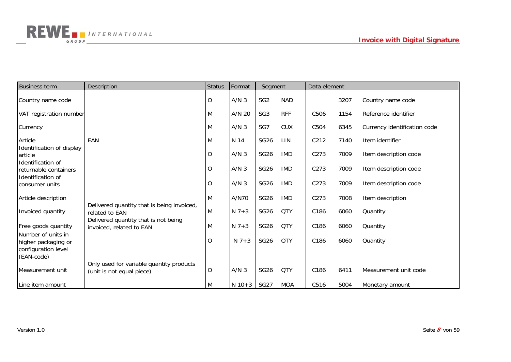

| <b>Business term</b>                                                           | Description                                                           | <b>Status</b> | Format           | Segment          |            | Data element     |      |                              |
|--------------------------------------------------------------------------------|-----------------------------------------------------------------------|---------------|------------------|------------------|------------|------------------|------|------------------------------|
| Country name code                                                              |                                                                       | O             | A/N <sub>3</sub> | SG <sub>2</sub>  | <b>NAD</b> |                  | 3207 | Country name code            |
| VAT registration number                                                        |                                                                       | M             | A/N 20           | SG <sub>3</sub>  | <b>RFF</b> | C506             | 1154 | Reference identifier         |
| Currency                                                                       |                                                                       | M             | A/N <sub>3</sub> | SG7              | <b>CUX</b> | C504             | 6345 | Currency identification code |
| Article                                                                        | EAN                                                                   | M             | N 14             | SG <sub>26</sub> | LIN        | C212             | 7140 | Item identifier              |
| Identification of display<br>article                                           |                                                                       | $\mathbf 0$   | A/N <sub>3</sub> | SG <sub>26</sub> | <b>IMD</b> | C <sub>273</sub> | 7009 | Item description code        |
| Identification of<br>returnable containers                                     |                                                                       | O             | A/N <sub>3</sub> | <b>SG26</b>      | <b>IMD</b> | C273             | 7009 | Item description code        |
| Identification of<br>consumer units                                            |                                                                       | O             | A/N <sub>3</sub> | SG <sub>26</sub> | <b>IMD</b> | C <sub>273</sub> | 7009 | Item description code        |
| Article description                                                            |                                                                       | M             | A/N70            | <b>SG26</b>      | <b>IMD</b> | C273             | 7008 | Item description             |
| Invoiced quantity                                                              | Delivered quantity that is being invoiced,<br>related to EAN          | M             | $N$ 7+3          | <b>SG26</b>      | <b>QTY</b> | C186             | 6060 | Quantity                     |
| Free goods quantity                                                            | Delivered quantity that is not being<br>invoiced, related to EAN      | M             | $N$ 7+3          | <b>SG26</b>      | <b>QTY</b> | C186             | 6060 | Quantity                     |
| Number of units in<br>higher packaging or<br>configuration level<br>(EAN-code) |                                                                       | O             | $N$ 7+3          | <b>SG26</b>      | <b>QTY</b> | C186             | 6060 | Quantity                     |
| Measurement unit                                                               | Only used for variable quantity products<br>(unit is not equal piece) | $\circ$       | A/N <sub>3</sub> | <b>SG26</b>      | <b>QTY</b> | C186             | 6411 | Measurement unit code        |
| Line item amount                                                               |                                                                       | M             | $N 10 + 3$       | SG <sub>27</sub> | <b>MOA</b> | C516             | 5004 | Monetary amount              |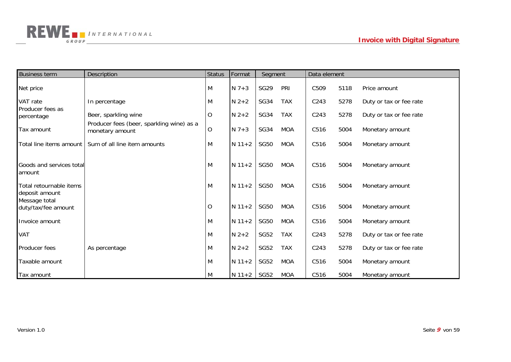

| <b>Business term</b>                      | Description                                                  | <b>Status</b> | Format        | Segment     |            | Data element |      |                         |
|-------------------------------------------|--------------------------------------------------------------|---------------|---------------|-------------|------------|--------------|------|-------------------------|
| Net price                                 |                                                              | M             | $N$ 7+3       | <b>SG29</b> | PRI        | C509         | 5118 | Price amount            |
| VAT rate<br>Producer fees as              | In percentage                                                | M             | $N$ 2+2       | <b>SG34</b> | <b>TAX</b> | C243         | 5278 | Duty or tax or fee rate |
| percentage                                | Beer, sparkling wine                                         | $\mathsf{O}$  | $N$ 2+2       | <b>SG34</b> | <b>TAX</b> | C243         | 5278 | Duty or tax or fee rate |
| Tax amount                                | Producer fees (beer, sparkling wine) as a<br>monetary amount | 0             | $N$ 7+3       | <b>SG34</b> | <b>MOA</b> | C516         | 5004 | Monetary amount         |
| Total line items amount                   | Sum of all line item amounts                                 | M             | $N 11+2$      | <b>SG50</b> | <b>MOA</b> | C516         | 5004 | Monetary amount         |
| Goods and services total<br>amount        |                                                              | M             | $N$ 11+2      | <b>SG50</b> | <b>MOA</b> | C516         | 5004 | Monetary amount         |
| Total retournable items<br>deposit amount |                                                              | M             | $N$ 11+2      | <b>SG50</b> | <b>MOA</b> | C516         | 5004 | Monetary amount         |
| Message total<br>duty/tax/fee amount      |                                                              | 0             | $N$ 11+2      | <b>SG50</b> | <b>MOA</b> | C516         | 5004 | Monetary amount         |
| Invoice amount                            |                                                              | M             | $N$ 11+2      | <b>SG50</b> | <b>MOA</b> | C516         | 5004 | Monetary amount         |
| <b>VAT</b>                                |                                                              | M             | $N$ 2+2       | <b>SG52</b> | <b>TAX</b> | C243         | 5278 | Duty or tax or fee rate |
| Producer fees                             | As percentage                                                | M             | $N$ 2+2       | <b>SG52</b> | <b>TAX</b> | C243         | 5278 | Duty or tax or fee rate |
| Taxable amount                            |                                                              | M             | $N$ 11+2      | <b>SG52</b> | <b>MOA</b> | C516         | 5004 | Monetary amount         |
| Tax amount                                |                                                              | M             | $N 11+2$ SG52 |             | MOA        | C516         | 5004 | Monetary amount         |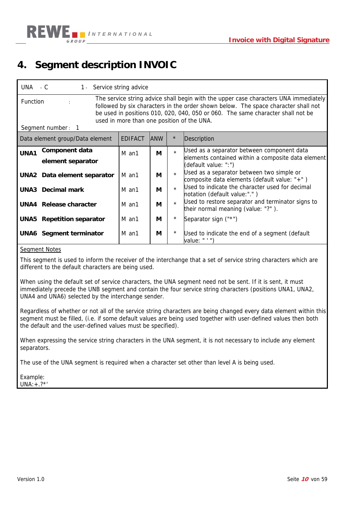

## **4. Segment description INVOIC**

| $UNA \t C$<br>$1 -$                                                                                                                                                                                                                                                                                                                          | Service string advice |             |                                                                                            |                                                                                                                          |  |  |  |  |
|----------------------------------------------------------------------------------------------------------------------------------------------------------------------------------------------------------------------------------------------------------------------------------------------------------------------------------------------|-----------------------|-------------|--------------------------------------------------------------------------------------------|--------------------------------------------------------------------------------------------------------------------------|--|--|--|--|
| The service string advice shall begin with the upper case characters UNA immediately<br>Function<br>followed by six characters in the order shown below. The space character shall not<br>be used in positions 010, 020, 040, 050 or 060. The same character shall not be<br>used in more than one position of the UNA.<br>Segment number: 1 |                       |             |                                                                                            |                                                                                                                          |  |  |  |  |
| Data element group/Data element                                                                                                                                                                                                                                                                                                              | <b>EDIFACT</b>        | <b>JANW</b> | $\star$                                                                                    | Description                                                                                                              |  |  |  |  |
| <b>Component data</b><br>UNA1<br>element separator                                                                                                                                                                                                                                                                                           | M an1                 | М           | $\star$                                                                                    | Used as a separator between component data<br>elements contained within a composite data element<br>(default value: ":") |  |  |  |  |
| UNA2 Data element separator                                                                                                                                                                                                                                                                                                                  | M an1                 | М           | $\star$                                                                                    | Used as a separator between two simple or<br>composite data elements (default value: "+")                                |  |  |  |  |
| <b>UNA3</b> Decimal mark                                                                                                                                                                                                                                                                                                                     | M an1                 | М           | Used to indicate the character used for decimal<br>$\star$<br>notation (default value:".") |                                                                                                                          |  |  |  |  |
| <b>UNA4</b> Release character                                                                                                                                                                                                                                                                                                                | M an1                 | М           | $\star$                                                                                    | Used to restore separator and terminator signs to<br>their normal meaning (value: "?").                                  |  |  |  |  |
| <b>Repetition separator</b><br>UNA5                                                                                                                                                                                                                                                                                                          | M an1                 | М           | $^\star$                                                                                   | Separator sign ("*")                                                                                                     |  |  |  |  |
| <b>UNA6</b> Segment terminator                                                                                                                                                                                                                                                                                                               | M an1                 | М           | $\star$                                                                                    | Used to indicate the end of a segment (default<br>value: " ' ")                                                          |  |  |  |  |

#### Segment Notes

This segment is used to inform the receiver of the interchange that a set of service string characters which are different to the default characters are being used.

When using the default set of service characters, the UNA segment need not be sent. If it is sent, it must immediately precede the UNB segment and contain the four service string characters (positions UNA1, UNA2, UNA4 and UNA6) selected by the interchange sender.

Regardless of whether or not all of the service string characters are being changed every data element within this segment must be filled, (i.e. if some default values are being used together with user-defined values then both the default and the user-defined values must be specified).

When expressing the service string characters in the UNA segment, it is not necessary to include any element separators.

The use of the UNA segment is required when a character set other than level A is being used.

Example:  $UNA: + .2^{*}$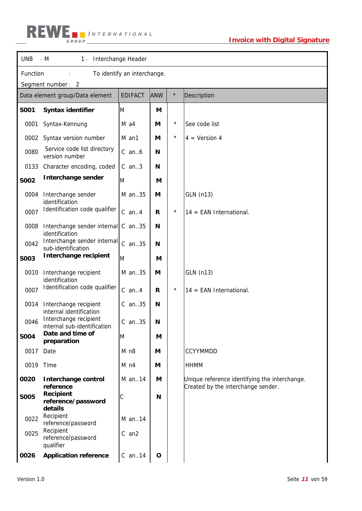| <b>UNB</b>  | $-M$<br>$1 -$                                        | Interchange Header |             |         |                                                                                     |  |  |  |
|-------------|------------------------------------------------------|--------------------|-------------|---------|-------------------------------------------------------------------------------------|--|--|--|
|             | Function<br>To identify an interchange.              |                    |             |         |                                                                                     |  |  |  |
|             | Segment number: 2<br>Data element group/Data element | <b>EDIFACT</b>     | <b>ANW</b>  | $\star$ | Description                                                                         |  |  |  |
| <b>SO01</b> | Syntax identifier                                    | M                  | M           |         |                                                                                     |  |  |  |
| 0001        | Syntax-Kennung                                       | $M$ a4             | M           | $\star$ | See code list                                                                       |  |  |  |
| 0002        | Syntax version number                                | M an1              | M           | $\star$ | $4 = Version 4$                                                                     |  |  |  |
| 0080        | Service code list directory<br>version number        | $C$ an $6$         | Ν           |         |                                                                                     |  |  |  |
| 0133        | Character encoding, coded                            | $C$ an3            | N           |         |                                                                                     |  |  |  |
| <b>SO02</b> | Interchange sender                                   | M                  | M           |         |                                                                                     |  |  |  |
| 0004        | Interchange sender<br>identification                 | M an35             | M           |         | GLN (n13)                                                                           |  |  |  |
| 0007        | Identification code qualifier                        | $C$ an $4$         | R           | $\star$ | $14 = EAN International$ .                                                          |  |  |  |
| 0008        | Interchange sender internal<br>identification        | $C$ an35           | Ν           |         |                                                                                     |  |  |  |
| 0042        | Interchange sender internal<br>sub-identification    | C an35             | N           |         |                                                                                     |  |  |  |
| <b>SO03</b> | Interchange recipient                                | M                  | M           |         |                                                                                     |  |  |  |
| 0010        | Interchange recipient<br>identification              | M an35             | M           |         | GLN (n13)                                                                           |  |  |  |
| 0007        | Identification code qualifier                        | $C$ an $4$         | R           | $\star$ | $14 = EAN International$ .                                                          |  |  |  |
| 0014        | Interchange recipient<br>internal identification     | $C$ an35           | N           |         |                                                                                     |  |  |  |
| 0046        | Interchange recipient<br>internal sub-identification | C an35             | N           |         |                                                                                     |  |  |  |
| <b>SO04</b> | Date and time of<br>preparation                      | M                  | M           |         |                                                                                     |  |  |  |
| 0017        | Date                                                 | M n8               | M           |         | <b>CCYYMMDD</b>                                                                     |  |  |  |
| 0019 Time   |                                                      | $M$ n4             | M           |         | <b>HHMM</b>                                                                         |  |  |  |
| 0020        | Interchange control<br>reference                     | $M$ an. 14         | M           |         | Unique reference identifying the interchange.<br>Created by the interchange sender. |  |  |  |
| <b>SO05</b> | <b>Recipient</b><br>reference/password<br>details    | C                  | N           |         |                                                                                     |  |  |  |
| 0022        | Recipient<br>reference/password                      | $M$ an. 14         |             |         |                                                                                     |  |  |  |
| 0025        | Recipient<br>reference/password<br>qualifier         | $C$ an2            |             |         |                                                                                     |  |  |  |
| 0026        | <b>Application reference</b>                         | $C$ an. 14         | $\mathbf O$ |         |                                                                                     |  |  |  |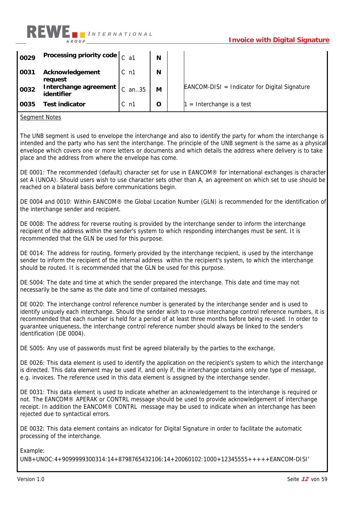

| 0029 | Processing priority code $\vert_{\text{C a1}}$ |                    | N |                                                  |
|------|------------------------------------------------|--------------------|---|--------------------------------------------------|
| 0031 | Acknowledgement<br>request                     | $C_{\rm n}$ n1     | N |                                                  |
| 0032 | Interchange agreement<br>identifier            | $C$ an35<br>$\cap$ | М | $EANCOM-DISI = Indication for Digital Signature$ |
| 0035 | <b>Fest indicator</b>                          | $C_{\rm n}$ n1     | O | $1 =$ Interchange is a test                      |

#### Segment Notes

The UNB segment is used to envelope the interchange and also to identify the party for whom the interchange is intended and the party who has sent the interchange. The principle of the UNB segment is the same as a physical envelope which covers one or more letters or documents and which details the address where delivery is to take place and the address from where the envelope has come.

DE 0001: The recommended (default) character set for use in EANCOM® for international exchanges is character set A (UNOA). Should users wish to use character sets other than A, an agreement on which set to use should be reached on a bilateral basis before communications begin.

DE 0004 and 0010: Within EANCOM® the Global Location Number (GLN) is recommended for the identification of the interchange sender and recipient.

DE 0008: The address for reverse routing is provided by the interchange sender to inform the interchange recipient of the address within the sender's system to which responding interchanges must be sent. It is recommended that the GLN be used for this purpose.

DE 0014: The address for routing, formerly provided by the interchange recipient, is used by the interchange sender to inform the recipient of the internal address within the recipient's system, to which the interchange should be routed. It is recommended that the GLN be used for this purpose.

DE S004: The date and time at which the sender prepared the interchange. This date and time may not necessarily be the same as the date and time of contained messages.

DE 0020: The interchange control reference number is generated by the interchange sender and is used to identify uniquely each interchange. Should the sender wish to re-use interchange control reference numbers, it is recommended that each number is held for a period of at least three months before being re-used. In order to guarantee uniqueness, the interchange control reference number should always be linked to the sender's identification (DE 0004).

DE S005: Any use of passwords must first be agreed bilaterally by the parties to the exchange.

DE 0026: This data element is used to identify the application on the recipient's system to which the interchange is directed. This data element may be used if, and only if, the interchange contains only one type of message, e.g. invoices. The reference used in this data element is assigned by the interchange sender.

DE 0031: This data element is used to indicate whether an acknowledgement to the interchange is required or not. The EANCOM® APERAK or CONTRL message should be used to provide acknowledgement of interchange receipt. In addition the EANCOM® CONTRL message may be used to indicate when an interchange has been rejected due to syntactical errors.

DE 0032: This data element contains an indicator for Digital Signature in order to facilitate the automatic processing of the interchange.

Example:

UNB+UNOC:4+9099999300314:14+8798765432106:14+20060102:1000+12345555+++++EANCOM-DISI'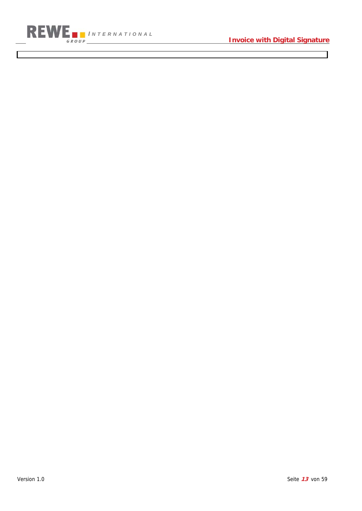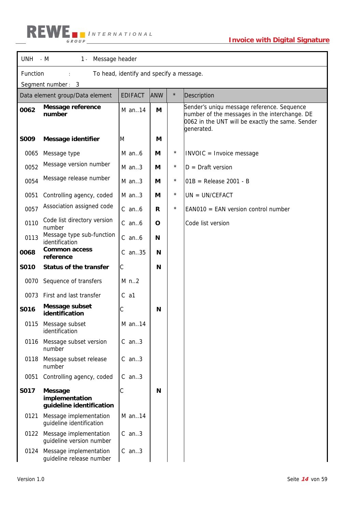# *I NTERNATIONAL* **EXECUTERNATIONAL**<br>GROUP **INTERNATIONAL**<br>**Invoice with Digital Signature**

| <b>UNH</b>                                           | $-M$<br>Message header<br>$1 -$                              |                |              |          |                                                                                                                                                               |  |  |  |
|------------------------------------------------------|--------------------------------------------------------------|----------------|--------------|----------|---------------------------------------------------------------------------------------------------------------------------------------------------------------|--|--|--|
| To head, identify and specify a message.<br>Function |                                                              |                |              |          |                                                                                                                                                               |  |  |  |
|                                                      | Segment number: 3                                            |                |              |          |                                                                                                                                                               |  |  |  |
|                                                      | Data element group/Data element                              | <b>EDIFACT</b> | <b>ANW</b>   | $\star$  | Description                                                                                                                                                   |  |  |  |
| 0062                                                 | <b>Message reference</b><br>number                           | $M$ an14       | M            |          | Sender's uniqu message reference. Sequence<br>number of the messages in the interchange. DE<br>0062 in the UNT will be exactly the same. Sender<br>generated. |  |  |  |
| S009                                                 | <b>Message identifier</b>                                    | M              | M            |          |                                                                                                                                                               |  |  |  |
| 0065                                                 | Message type                                                 | $M$ an6        | М            | $\star$  | INVOIC = Invoice message                                                                                                                                      |  |  |  |
| 0052                                                 | Message version number                                       | $M$ an3        | M            | $\star$  | $D = Draff version$                                                                                                                                           |  |  |  |
| 0054                                                 | Message release number                                       | $M$ an3        | М            | $^\star$ | $01B$ = Release 2001 - B                                                                                                                                      |  |  |  |
| 0051                                                 | Controlling agency, coded                                    | $M$ an3        | М            | $^\star$ | $UN = UN/CEFACT$                                                                                                                                              |  |  |  |
| 0057                                                 | Association assigned code                                    | $C$ an $6$     | R            | $\star$  | $EANO10 = EAN$ version control number                                                                                                                         |  |  |  |
| 0110                                                 | Code list directory version<br>number                        | $C$ an $6$     | $\mathbf{o}$ |          | Code list version                                                                                                                                             |  |  |  |
| 0113                                                 | Message type sub-function<br>identification                  | $C$ an $6$     | N            |          |                                                                                                                                                               |  |  |  |
| 0068                                                 | <b>Common access</b><br>reference                            | $C$ an35       | N            |          |                                                                                                                                                               |  |  |  |
| <b>SO10</b>                                          | <b>Status of the transfer</b>                                | $\mathsf C$    | N            |          |                                                                                                                                                               |  |  |  |
| 0070                                                 | Sequence of transfers                                        | $M$ n2         |              |          |                                                                                                                                                               |  |  |  |
| 0073                                                 | First and last transfer                                      | $C$ a1         |              |          |                                                                                                                                                               |  |  |  |
| S016                                                 | Message subset<br>identification                             | C              | N            |          |                                                                                                                                                               |  |  |  |
|                                                      | 0115 Message subset<br>identification                        | M an14         |              |          |                                                                                                                                                               |  |  |  |
| 0116                                                 | Message subset version<br>number                             | $C$ an3        |              |          |                                                                                                                                                               |  |  |  |
| 0118                                                 | Message subset release<br>number                             | $C$ an3        |              |          |                                                                                                                                                               |  |  |  |
| 0051                                                 | Controlling agency, coded                                    | $C$ an3        |              |          |                                                                                                                                                               |  |  |  |
| S017                                                 | <b>Message</b><br>implementation<br>guideline identification | $\mathsf{C}$   | N            |          |                                                                                                                                                               |  |  |  |
| 0121                                                 | Message implementation<br>guideline identification           | M an14         |              |          |                                                                                                                                                               |  |  |  |
| 0122                                                 | Message implementation<br>guideline version number           | $C$ an3        |              |          |                                                                                                                                                               |  |  |  |
| 0124                                                 | Message implementation<br>guideline release number           | $C$ an3        |              |          |                                                                                                                                                               |  |  |  |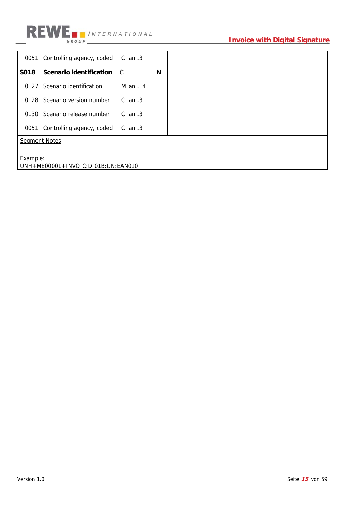

| 0051                                            | Controlling agency, coded | $C$ an3    |   |  |  |
|-------------------------------------------------|---------------------------|------------|---|--|--|
| <b>S018</b>                                     | Scenario identification   | C          | N |  |  |
| 0127                                            | Scenario identification   | $M$ an. 14 |   |  |  |
| 0128                                            | Scenario version number   | $C$ an3    |   |  |  |
| 0130                                            | Scenario release number   | $C$ an3    |   |  |  |
| 0051                                            | Controlling agency, coded | $C$ an3    |   |  |  |
| <b>Segment Notes</b>                            |                           |            |   |  |  |
| Example:<br>UNH+ME00001+INVOIC:D:01B:UN:EAN010' |                           |            |   |  |  |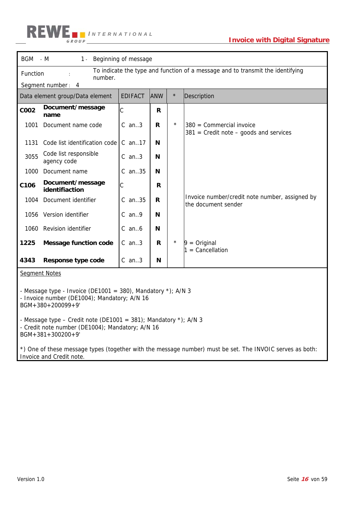

| <b>BGM</b>                                                                                                                                                                                                                                                                                                                                                                                                                                   | $-M$<br>1 - Beginning of message     |                |     |         |                                                                       |  |  |  |  |  |
|----------------------------------------------------------------------------------------------------------------------------------------------------------------------------------------------------------------------------------------------------------------------------------------------------------------------------------------------------------------------------------------------------------------------------------------------|--------------------------------------|----------------|-----|---------|-----------------------------------------------------------------------|--|--|--|--|--|
| To indicate the type and function of a message and to transmit the identifying<br>Function<br>number.                                                                                                                                                                                                                                                                                                                                        |                                      |                |     |         |                                                                       |  |  |  |  |  |
|                                                                                                                                                                                                                                                                                                                                                                                                                                              | Segment number: 4                    |                |     |         |                                                                       |  |  |  |  |  |
|                                                                                                                                                                                                                                                                                                                                                                                                                                              | Data element group/Data element      | <b>EDIFACT</b> | ANW | $\star$ | Description                                                           |  |  |  |  |  |
| <b>COO2</b>                                                                                                                                                                                                                                                                                                                                                                                                                                  | Document/message<br>name             | $\overline{C}$ | R   |         |                                                                       |  |  |  |  |  |
| 1001                                                                                                                                                                                                                                                                                                                                                                                                                                         | Document name code                   | $C$ an3        | R   | $\star$ | 380 = Commercial invoice<br>$381$ = Credit note – goods and services  |  |  |  |  |  |
| 1131                                                                                                                                                                                                                                                                                                                                                                                                                                         | Code list identification code        | C an17         | N   |         |                                                                       |  |  |  |  |  |
| 3055                                                                                                                                                                                                                                                                                                                                                                                                                                         | Code list responsible<br>agency code | $C$ an3        | N   |         |                                                                       |  |  |  |  |  |
| 1000                                                                                                                                                                                                                                                                                                                                                                                                                                         | Document name                        | C an35         | N   |         |                                                                       |  |  |  |  |  |
| C106                                                                                                                                                                                                                                                                                                                                                                                                                                         | Document/message<br>identifiaction   | C              | R   |         |                                                                       |  |  |  |  |  |
|                                                                                                                                                                                                                                                                                                                                                                                                                                              | 1004 Document identifier             | C an35         | R   |         | Invoice number/credit note number, assigned by<br>the document sender |  |  |  |  |  |
|                                                                                                                                                                                                                                                                                                                                                                                                                                              | 1056 Version identifier              | $C$ an9        | N   |         |                                                                       |  |  |  |  |  |
|                                                                                                                                                                                                                                                                                                                                                                                                                                              | 1060 Revision identifier             | $C$ an $6$     | N   |         |                                                                       |  |  |  |  |  |
| 1225                                                                                                                                                                                                                                                                                                                                                                                                                                         | <b>Message function code</b>         | $C$ an3        | R   |         | $9 = Original$<br>$1 =$ Cancellation                                  |  |  |  |  |  |
| 4343                                                                                                                                                                                                                                                                                                                                                                                                                                         | Response type code                   | $C$ an3        | N   |         |                                                                       |  |  |  |  |  |
|                                                                                                                                                                                                                                                                                                                                                                                                                                              |                                      |                |     |         |                                                                       |  |  |  |  |  |
| <b>Segment Notes</b><br>- Message type - Invoice (DE1001 = 380), Mandatory $*$ ); A/N 3<br>- Invoice number (DE1004); Mandatory; A/N 16<br>$BGM + 380 + 200099 + 9'$<br>- Message type - Credit note (DE1001 = 381); Mandatory $\star$ ); A/N 3<br>- Credit note number (DE1004); Mandatory; A/N 16<br>$BGM + 381 + 300200 + 9'$<br>*) One of these message types (together with the message number) must be set. The INVOIC serves as both: |                                      |                |     |         |                                                                       |  |  |  |  |  |
|                                                                                                                                                                                                                                                                                                                                                                                                                                              | Invoice and Credit note.             |                |     |         |                                                                       |  |  |  |  |  |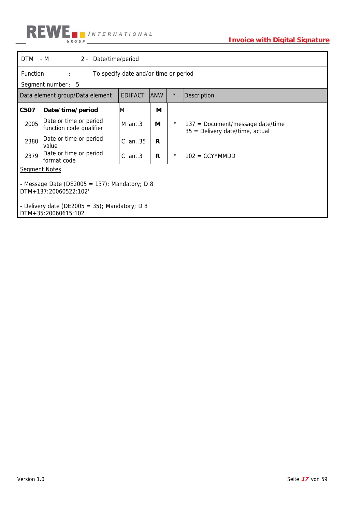

| DTM - M<br>2 - Date/time/period |                                                                                                                                                 |                |             |          |                                                                         |  |  |  |  |  |
|---------------------------------|-------------------------------------------------------------------------------------------------------------------------------------------------|----------------|-------------|----------|-------------------------------------------------------------------------|--|--|--|--|--|
|                                 | Function<br>To specify date and/or time or period<br>$\mathcal{L}$                                                                              |                |             |          |                                                                         |  |  |  |  |  |
|                                 | Segment number: 5                                                                                                                               |                |             |          |                                                                         |  |  |  |  |  |
| Data element group/Data element |                                                                                                                                                 | <b>EDIFACT</b> | <b>JANW</b> | $\star$  | Description                                                             |  |  |  |  |  |
| C507                            | Date/time/period                                                                                                                                | M              | М           |          |                                                                         |  |  |  |  |  |
| 2005                            | Date or time or period<br>function code qualifier                                                                                               | $M$ an3        | М           | $^\star$ | $137$ = Document/message date/time<br>$35$ = Delivery date/time, actual |  |  |  |  |  |
| 2380                            | Date or time or period<br>value                                                                                                                 | $C$ an35       | R           |          |                                                                         |  |  |  |  |  |
| 2379                            | Date or time or period<br>format code                                                                                                           | $C$ an3        | R           | $\star$  | $102 = CCYYMMDD$                                                        |  |  |  |  |  |
|                                 | <b>Segment Notes</b>                                                                                                                            |                |             |          |                                                                         |  |  |  |  |  |
|                                 | - Message Date (DE2005 = 137); Mandatory; D 8<br>DTM+137:20060522:102'<br>- Delivery date (DE2005 = 35); Mandatory; D 8<br>DTM+35:20060615:102' |                |             |          |                                                                         |  |  |  |  |  |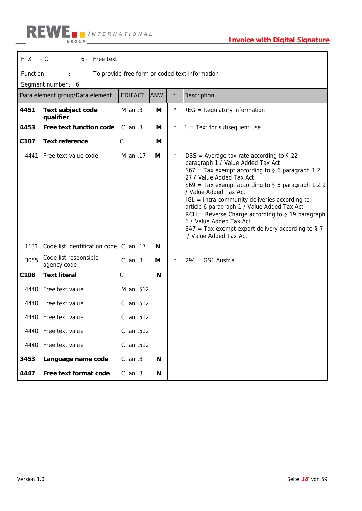| <b>FTX</b> | $-C$<br>6 - Free text                                      |                |            |            |                                                                                                                                                                                                                                                                                                                                                                                                                                                                                                                         |  |  |  |  |  |
|------------|------------------------------------------------------------|----------------|------------|------------|-------------------------------------------------------------------------------------------------------------------------------------------------------------------------------------------------------------------------------------------------------------------------------------------------------------------------------------------------------------------------------------------------------------------------------------------------------------------------------------------------------------------------|--|--|--|--|--|
|            | Function<br>To provide free form or coded text information |                |            |            |                                                                                                                                                                                                                                                                                                                                                                                                                                                                                                                         |  |  |  |  |  |
|            | Segment number: 6                                          |                |            |            |                                                                                                                                                                                                                                                                                                                                                                                                                                                                                                                         |  |  |  |  |  |
|            | Data element group/Data element                            | <b>EDIFACT</b> | <b>ANW</b> | $\star$    | Description                                                                                                                                                                                                                                                                                                                                                                                                                                                                                                             |  |  |  |  |  |
| 4451       | Text subject code<br>qualifier                             | $M$ an3        | M          | $^{\star}$ | $REG = Regularory information$                                                                                                                                                                                                                                                                                                                                                                                                                                                                                          |  |  |  |  |  |
| 4453       | Free text function code                                    | $C$ an3        | М          | $\star$    | $1 =$ Text for subsequent use                                                                                                                                                                                                                                                                                                                                                                                                                                                                                           |  |  |  |  |  |
| C107       | <b>Text reference</b>                                      | С              | M          |            |                                                                                                                                                                                                                                                                                                                                                                                                                                                                                                                         |  |  |  |  |  |
| 4441       | Free text value code                                       | M an17         | М          | $^\star$   | $DSS = Average tax rate according to § 22$<br>paragraph 1 / Value Added Tax Act<br>S67 = Tax exempt according to $\S$ 6 paragraph 1 Z<br>27 / Value Added Tax Act<br>S69 = Tax exempt according to $\S$ 6 paragraph 1 Z 9<br>/ Value Added Tax Act<br>IGL = Intra-community deliveries according to<br>article 6 paragraph 1 / Value Added Tax Act<br>$RCH =$ Reverse Charge according to § 19 paragraph<br>1 / Value Added Tax Act<br>$SA7 = Tax-experiment$ export delivery according to § 7<br>/ Value Added Tax Act |  |  |  |  |  |
| 1131       | Code list identification code                              | $C$ an. 17     | N          |            |                                                                                                                                                                                                                                                                                                                                                                                                                                                                                                                         |  |  |  |  |  |
| 3055       | Code list responsible<br>agency code                       | $C$ an3        | М          | $\star$    | $294 =$ GS1 Austria                                                                                                                                                                                                                                                                                                                                                                                                                                                                                                     |  |  |  |  |  |
| C108       | <b>Text literal</b>                                        | С              | N          |            |                                                                                                                                                                                                                                                                                                                                                                                                                                                                                                                         |  |  |  |  |  |
| 4440       | Free text value                                            | M an512        |            |            |                                                                                                                                                                                                                                                                                                                                                                                                                                                                                                                         |  |  |  |  |  |
| 4440       | Free text value                                            | C an512        |            |            |                                                                                                                                                                                                                                                                                                                                                                                                                                                                                                                         |  |  |  |  |  |
|            | 4440 Free text value                                       | $C$ an. $512$  |            |            |                                                                                                                                                                                                                                                                                                                                                                                                                                                                                                                         |  |  |  |  |  |
| 4440       | Free text value                                            | C an512        |            |            |                                                                                                                                                                                                                                                                                                                                                                                                                                                                                                                         |  |  |  |  |  |
| 4440       | Free text value                                            | C an512        |            |            |                                                                                                                                                                                                                                                                                                                                                                                                                                                                                                                         |  |  |  |  |  |
| 3453       | Language name code                                         | $C$ an3        | N          |            |                                                                                                                                                                                                                                                                                                                                                                                                                                                                                                                         |  |  |  |  |  |
| 4447       | Free text format code                                      | $C$ an3        | N          |            |                                                                                                                                                                                                                                                                                                                                                                                                                                                                                                                         |  |  |  |  |  |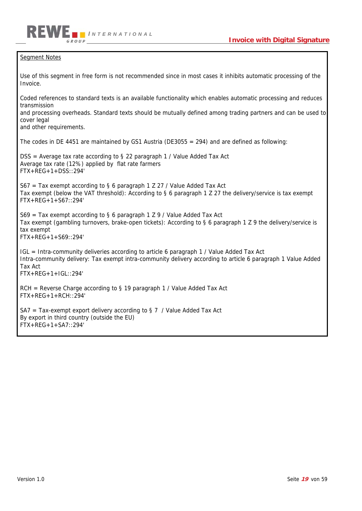

#### Segment Notes

Use of this segment in free form is not recommended since in most cases it inhibits automatic processing of the Invoice.

Coded references to standard texts is an available functionality which enables automatic processing and reduces transmission and processing overheads. Standard texts should be mutually defined among trading partners and can be used to cover legal

and other requirements.

The codes in DE 4451 are maintained by GS1 Austria (DE3055 = 294) and are defined as following:

DSS = Average tax rate according to § 22 paragraph 1 / Value Added Tax Act Average tax rate (12%) applied by flat rate farmers  $FTX+RFG+1+DSS:294'$ 

S67 = Tax exempt according to § 6 paragraph 1 Z 27 / Value Added Tax Act Tax exempt (below the VAT threshold): According to § 6 paragraph 1 Z 27 the delivery/service is tax exempt FTX+REG+1+S67::294'

S69 = Tax exempt according to § 6 paragraph 1 Z 9 / Value Added Tax Act Tax exempt (gambling turnovers, brake-open tickets): According to § 6 paragraph 1 Z 9 the delivery/service is tax exempt

 $FTX+RFG+1+S69.294'$ 

IGL = Intra-community deliveries according to article 6 paragraph 1 / Value Added Tax Act Intra-community delivery: Tax exempt intra-community delivery according to article 6 paragraph 1 Value Added Tax Act FTX+REG+1+IGL::294'

RCH = Reverse Charge according to § 19 paragraph 1 / Value Added Tax Act  $FTX+RFG+1+RCH\cdot 294'$ 

SA7 = Tax-exempt export delivery according to  $\S$  7 / Value Added Tax Act By export in third country (outside the EU) FTX+REG+1+SA7::294'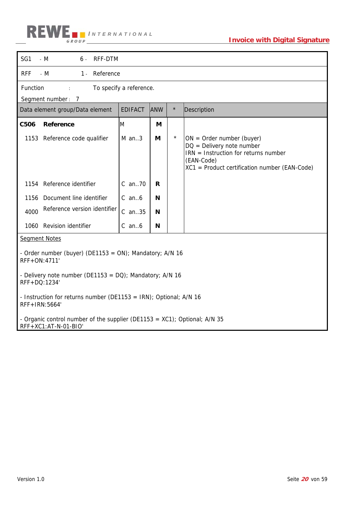| SG1                             | - M<br>RFF-DTM<br>6 -                                                                                                                                         |                |            |         |                                                                                                                                                                       |  |  |  |  |  |
|---------------------------------|---------------------------------------------------------------------------------------------------------------------------------------------------------------|----------------|------------|---------|-----------------------------------------------------------------------------------------------------------------------------------------------------------------------|--|--|--|--|--|
| <b>RFF</b>                      | Reference<br>$-M$<br>$1 -$                                                                                                                                    |                |            |         |                                                                                                                                                                       |  |  |  |  |  |
|                                 | Function<br>To specify a reference.                                                                                                                           |                |            |         |                                                                                                                                                                       |  |  |  |  |  |
| Segment number: 7               |                                                                                                                                                               |                |            |         |                                                                                                                                                                       |  |  |  |  |  |
| Data element group/Data element |                                                                                                                                                               | <b>EDIFACT</b> | <b>ANW</b> | $\star$ | Description                                                                                                                                                           |  |  |  |  |  |
| C506                            | Reference                                                                                                                                                     | M              | M          |         |                                                                                                                                                                       |  |  |  |  |  |
| 1153                            | Reference code qualifier                                                                                                                                      | $M$ an3        | М          | $\star$ | $ON = Order number (buyer)$<br>$DQ =$ Delivery note number<br>$IRN = Instruction for returns number$<br>(EAN-Code)<br>$XC1 = Product certification number (EAN-Code)$ |  |  |  |  |  |
| 1154                            | Reference identifier                                                                                                                                          | C an70         | R          |         |                                                                                                                                                                       |  |  |  |  |  |
| 1156                            | Document line identifier                                                                                                                                      | $C$ an $6$     | N          |         |                                                                                                                                                                       |  |  |  |  |  |
| 4000                            | Reference version identifier                                                                                                                                  | C an35         | N          |         |                                                                                                                                                                       |  |  |  |  |  |
| 1060                            | Revision identifier                                                                                                                                           | $C$ an $6$     | N          |         |                                                                                                                                                                       |  |  |  |  |  |
|                                 |                                                                                                                                                               |                |            |         |                                                                                                                                                                       |  |  |  |  |  |
|                                 | <b>Segment Notes</b><br>- Order number (buyer) (DE1153 = $ON$ ); Mandatory; A/N 16<br>RFF+ON:4711'<br>- Delivery note number (DE1153 = DQ); Mandatory; A/N 16 |                |            |         |                                                                                                                                                                       |  |  |  |  |  |
| RFF+DQ:1234'                    |                                                                                                                                                               |                |            |         |                                                                                                                                                                       |  |  |  |  |  |
| RFF+IRN:5664'                   | - Instruction for returns number (DE1153 = IRN); Optional; A/N 16                                                                                             |                |            |         |                                                                                                                                                                       |  |  |  |  |  |
|                                 | - Organic control number of the supplier (DE1153 = XC1); Optional; A/N 35<br>RFF+XC1:AT-N-01-BIO'                                                             |                |            |         |                                                                                                                                                                       |  |  |  |  |  |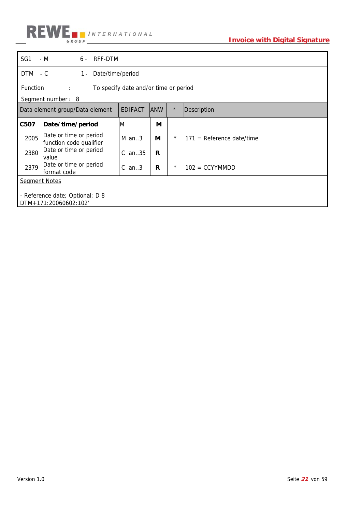| SG1                                                                   | - M<br>6 - RFF-DTM                                       |                |             |          |                             |  |  |  |  |  |
|-----------------------------------------------------------------------|----------------------------------------------------------|----------------|-------------|----------|-----------------------------|--|--|--|--|--|
| DTM                                                                   | $-C$<br>Date/time/period<br>$1 -$                        |                |             |          |                             |  |  |  |  |  |
| Function<br>To specify date and/or time or period<br>$\mathbb{R}^{n}$ |                                                          |                |             |          |                             |  |  |  |  |  |
|                                                                       | Segment number: 8                                        |                |             |          |                             |  |  |  |  |  |
|                                                                       | Data element group/Data element                          | <b>EDIFACT</b> | <b>JANW</b> | $\star$  | Description                 |  |  |  |  |  |
| C507                                                                  | Date/time/period                                         | M              | М           |          |                             |  |  |  |  |  |
| 2005                                                                  | Date or time or period<br>function code qualifier        | $M$ an3        | M           | $^\star$ | $171$ = Reference date/time |  |  |  |  |  |
| 2380                                                                  | Date or time or period<br>value                          | C.<br>an35     | R           |          |                             |  |  |  |  |  |
| 2379                                                                  | Date or time or period<br>format code                    | C.<br>an.3     | R           | $^\star$ | $102 = CCYYMMDD$            |  |  |  |  |  |
|                                                                       | <b>Segment Notes</b>                                     |                |             |          |                             |  |  |  |  |  |
|                                                                       | - Reference date; Optional; D 8<br>DTM+171:20060602:102' |                |             |          |                             |  |  |  |  |  |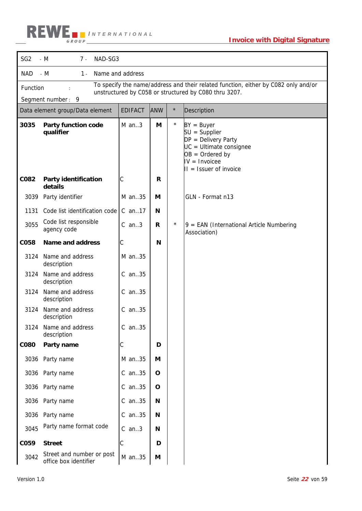#### **Invoice with Digital Signature**

| SG <sub>2</sub> | NAD-SG3<br>$-M$<br>7 -                                                                                                                                                       |                |              |            |                                                                                                                                                           |  |  |  |  |  |
|-----------------|------------------------------------------------------------------------------------------------------------------------------------------------------------------------------|----------------|--------------|------------|-----------------------------------------------------------------------------------------------------------------------------------------------------------|--|--|--|--|--|
| <b>NAD</b>      | Name and address<br>$-M$<br>$1 -$                                                                                                                                            |                |              |            |                                                                                                                                                           |  |  |  |  |  |
|                 | To specify the name/address and their related function, either by C082 only and/or<br>Function<br>unstructured by C058 or structured by C080 thru 3207.<br>Segment number: 9 |                |              |            |                                                                                                                                                           |  |  |  |  |  |
|                 | Data element group/Data element                                                                                                                                              | <b>EDIFACT</b> | <b>ANW</b>   | $\star$    | Description                                                                                                                                               |  |  |  |  |  |
| 3035            | Party function code<br>qualifier                                                                                                                                             | $M$ an3        | М            | $^\star$   | $BY = Buyer$<br>$SU =$ Supplier<br>$DP = Delivery Party$<br>$UC = Ultimate$ consignee<br>$OB = Ordered by$<br>$IV = Invoicee$<br>$II = Issuer of invoice$ |  |  |  |  |  |
| C082            | <b>Party identification</b><br>details                                                                                                                                       | С              | R            |            |                                                                                                                                                           |  |  |  |  |  |
| 3039            | Party identifier                                                                                                                                                             | M an35         | М            |            | GLN - Format n13                                                                                                                                          |  |  |  |  |  |
| 1131            | Code list identification code                                                                                                                                                | C an17         | N            |            |                                                                                                                                                           |  |  |  |  |  |
| 3055            | Code list responsible<br>agency code                                                                                                                                         | $C$ an3        | R            | $^{\star}$ | 9 = EAN (International Article Numbering<br>Association)                                                                                                  |  |  |  |  |  |
| C058            | Name and address                                                                                                                                                             | С              | N            |            |                                                                                                                                                           |  |  |  |  |  |
| 3124            | Name and address<br>description                                                                                                                                              | M an35         |              |            |                                                                                                                                                           |  |  |  |  |  |
| 3124            | Name and address<br>description                                                                                                                                              | $C$ an35       |              |            |                                                                                                                                                           |  |  |  |  |  |
| 3124            | Name and address<br>description                                                                                                                                              | $C$ an35       |              |            |                                                                                                                                                           |  |  |  |  |  |
| 3124            | Name and address<br>description                                                                                                                                              | $C$ an35       |              |            |                                                                                                                                                           |  |  |  |  |  |
| 3124            | Name and address<br>description                                                                                                                                              | $C$ an35       |              |            |                                                                                                                                                           |  |  |  |  |  |
| <b>C080</b>     | Party name                                                                                                                                                                   | С              | D            |            |                                                                                                                                                           |  |  |  |  |  |
|                 | 3036 Party name                                                                                                                                                              | M an35         | M            |            |                                                                                                                                                           |  |  |  |  |  |
|                 | 3036 Party name                                                                                                                                                              | C an35         | $\mathbf{o}$ |            |                                                                                                                                                           |  |  |  |  |  |
|                 | 3036 Party name                                                                                                                                                              | $C$ an35       | $\mathbf{o}$ |            |                                                                                                                                                           |  |  |  |  |  |
|                 | 3036 Party name                                                                                                                                                              | $C$ an35       | N            |            |                                                                                                                                                           |  |  |  |  |  |
| 3036            | Party name                                                                                                                                                                   | C an35         | Ν            |            |                                                                                                                                                           |  |  |  |  |  |
| 3045            | Party name format code                                                                                                                                                       | $C$ an3        | N            |            |                                                                                                                                                           |  |  |  |  |  |
| C059            | <b>Street</b>                                                                                                                                                                | С              | D            |            |                                                                                                                                                           |  |  |  |  |  |
| 3042            | Street and number or post<br>office box identifier                                                                                                                           | M an35         | M            |            |                                                                                                                                                           |  |  |  |  |  |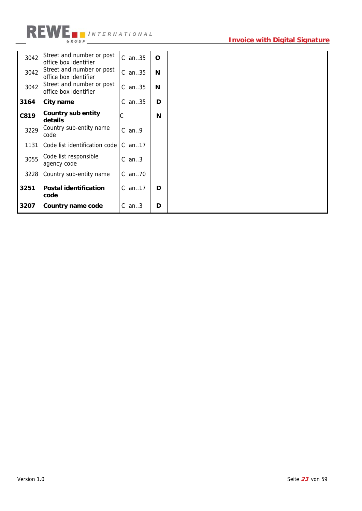

| 3042 | Street and number or post<br>office box identifier | $C$ an35              | O |  |  |  |  |  |  |  |  |  |  |  |  |
|------|----------------------------------------------------|-----------------------|---|--|--|--|--|--|--|--|--|--|--|--|--|
| 3042 | Street and number or post<br>office box identifier | $C$ an35              | N |  |  |  |  |  |  |  |  |  |  |  |  |
| 3042 | Street and number or post<br>office box identifier | $\mathsf{C}$<br>an.35 | N |  |  |  |  |  |  |  |  |  |  |  |  |
| 3164 | City name                                          | an35<br>C.            | D |  |  |  |  |  |  |  |  |  |  |  |  |
| C819 | <b>Country sub entity</b><br>details               | С                     | N |  |  |  |  |  |  |  |  |  |  |  |  |
| 3229 | Country sub-entity name<br>code                    | $C$ an9               |   |  |  |  |  |  |  |  |  |  |  |  |  |
| 1131 | Code list identification code                      | $C$ an. 17            |   |  |  |  |  |  |  |  |  |  |  |  |  |
| 3055 | Code list responsible<br>agency code               | $C$ an3               |   |  |  |  |  |  |  |  |  |  |  |  |  |
| 3228 | Country sub-entity name                            | C an70                |   |  |  |  |  |  |  |  |  |  |  |  |  |
| 3251 | <b>Postal identification</b><br>code               | $C$ an17              | D |  |  |  |  |  |  |  |  |  |  |  |  |
| 3207 | Country name code                                  | $C$ an3               | D |  |  |  |  |  |  |  |  |  |  |  |  |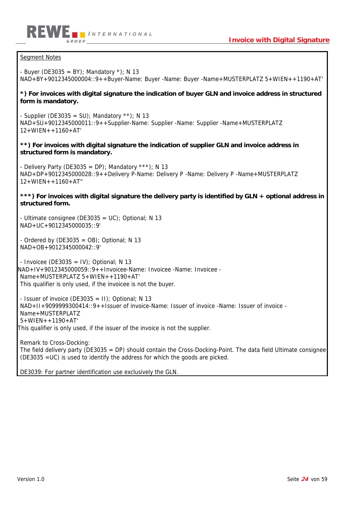#### Segment Notes

- Buyer (DE3035 = BY); Mandatory  $*$ ); N 13 NAD+BY+9012345000004::9++Buyer-Name: Buyer -Name: Buyer -Name+MUSTERPLATZ 5+WIEN++1190+AT'

#### **\*) For invoices with digital signature the indication of buyer GLN and invoice address in structured form is mandatory.**

- Supplier (DE3035 = SU); Mandatory \*\*); N 13 NAD+SU+9012345000011::9++Supplier-Name: Supplier -Name: Supplier -Name+MUSTERPLATZ 12+WIEN++1160+AT'

#### **\*\*) For invoices with digital signature the indication of supplier GLN and invoice address in structured form is mandatory.**

- Delivery Party (DE3035 = DP); Mandatory \*\*\*); N 13 NAD+DP+9012345000028::9++Delivery P-Name: Delivery P -Name: Delivery P -Name+MUSTERPLATZ 12+WIEN++1160+AT''

#### **\*\*\*) For invoices with digital signature the delivery party is identified by GLN + optional address in structured form.**

- Ultimate consignee (DE3035 = UC); Optional; N 13 NAD+UC+9012345000035::9'

- Ordered by (DE3035 = OB); Optional; N 13 NAD+OB+9012345000042::9'

 $-$  Invoicee (DE3035 = IV); Optional; N 13 NAD+IV+9012345000059::9++Invoicee-Name: Invoicee -Name: Invoicee - Name+MUSTERPLATZ 5+WIEN++1190+AT' This qualifier is only used, if the invoicee is not the buyer.

- Issuer of invoice (DE3035 =  $II$ ); Optional; N 13 NAD+II+9099999300414::9++Issuer of invoice-Name: Issuer of invoice -Name: Issuer of invoice - Name+MUSTERPLATZ 5+WIEN++1190+AT' This qualifier is only used, if the issuer of the invoice is not the supplier.

Remark to Cross-Docking: The field delivery party (DE3035 = DP) should contain the Cross-Docking-Point. The data field Ultimate consignee (DE3035 =UC) is used to identify the address for which the goods are picked.

DE3039: For partner identification use exclusively the GLN.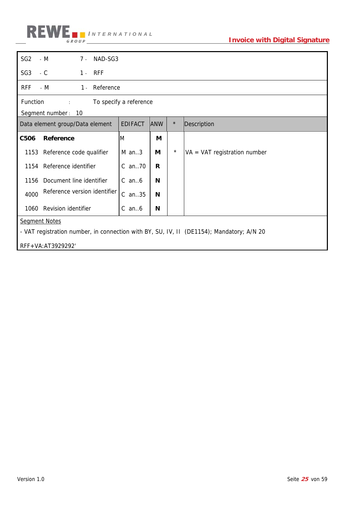| SG <sub>2</sub> | 7 - NAD-SG3<br>$-M$                                                                                              |                |            |         |                                |  |  |  |  |
|-----------------|------------------------------------------------------------------------------------------------------------------|----------------|------------|---------|--------------------------------|--|--|--|--|
| SG <sub>3</sub> | - C<br>$1 - RFF$                                                                                                 |                |            |         |                                |  |  |  |  |
| <b>RFF</b>      | $-M$<br>1 - Reference                                                                                            |                |            |         |                                |  |  |  |  |
|                 | Function<br>To specify a reference<br>$\ddot{\phantom{a}}$                                                       |                |            |         |                                |  |  |  |  |
|                 | Segment number: 10                                                                                               |                |            |         |                                |  |  |  |  |
|                 | Data element group/Data element                                                                                  | <b>EDIFACT</b> | <b>ANW</b> | $\star$ | Description                    |  |  |  |  |
| C506            | Reference                                                                                                        | M              | М          |         |                                |  |  |  |  |
|                 | 1153 Reference code qualifier                                                                                    | $M$ an3        | М          | $\star$ | $VA = VAT$ registration number |  |  |  |  |
|                 | 1154 Reference identifier                                                                                        | $C$ an. $70$   | R          |         |                                |  |  |  |  |
| 1156            | Document line identifier                                                                                         | $C$ an $6$     | N          |         |                                |  |  |  |  |
| 4000            | Reference version identifier                                                                                     | C an35         | N          |         |                                |  |  |  |  |
| 1060            | Revision identifier                                                                                              | $C$ an $6$     | N          |         |                                |  |  |  |  |
|                 |                                                                                                                  |                |            |         |                                |  |  |  |  |
|                 | <b>Segment Notes</b><br>- VAT registration number, in connection with BY, SU, IV, II (DE1154); Mandatory; A/N 20 |                |            |         |                                |  |  |  |  |
|                 | RFF+VA:AT3929292'                                                                                                |                |            |         |                                |  |  |  |  |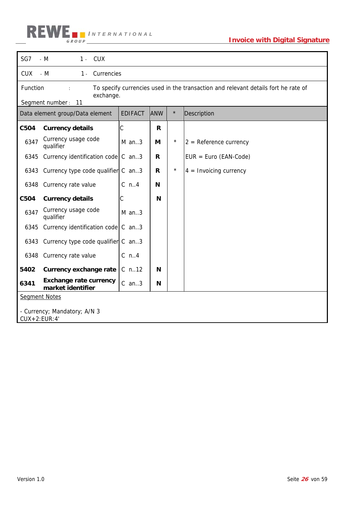#### **Invoice with Digital Signature**

| SG7                   | <b>CUX</b><br>$-M$<br>$1 -$                                                                                 |                |            |          |                          |  |  |  |  |
|-----------------------|-------------------------------------------------------------------------------------------------------------|----------------|------------|----------|--------------------------|--|--|--|--|
| <b>CUX</b>            | $-M$<br>Currencies<br>$1 -$                                                                                 |                |            |          |                          |  |  |  |  |
|                       | Function<br>To specify currencies used in the transaction and relevant details fort he rate of<br>exchange. |                |            |          |                          |  |  |  |  |
| Segment number:<br>11 |                                                                                                             |                |            |          |                          |  |  |  |  |
|                       | Data element group/Data element                                                                             | <b>EDIFACT</b> | <b>ANW</b> | $\star$  | Description              |  |  |  |  |
| C504                  | <b>Currency details</b>                                                                                     | C              | R          |          |                          |  |  |  |  |
| 6347                  | Currency usage code<br>qualifier                                                                            | $M$ an3        | М          | $^\star$ | $2$ = Reference currency |  |  |  |  |
| 6345                  | Currency identification code                                                                                | $C$ an3        | R          |          | $EUR = Euro (EAN-Code)$  |  |  |  |  |
| 6343                  | Currency type code qualifier $\,$ C an3                                                                     |                | R          | $\star$  | $4 =$ Invoicing currency |  |  |  |  |
| 6348                  | Currency rate value                                                                                         | $C$ n4         | N          |          |                          |  |  |  |  |
| C504                  | <b>Currency details</b>                                                                                     | C              | N          |          |                          |  |  |  |  |
| 6347                  | Currency usage code<br>qualifier                                                                            | $M$ an3        |            |          |                          |  |  |  |  |
| 6345                  | Currency identification code                                                                                | $C$ an3        |            |          |                          |  |  |  |  |
| 6343                  | Currency type code qualifier $\,$ C an3                                                                     |                |            |          |                          |  |  |  |  |
| 6348                  | Currency rate value                                                                                         | $C_n$ n4       |            |          |                          |  |  |  |  |
| 5402                  | Currency exchange rate                                                                                      | $C$ n. 12      | N          |          |                          |  |  |  |  |
| 6341                  | <b>Exchange rate currency</b><br>market identifier                                                          | $C$ an3        | N          |          |                          |  |  |  |  |
| <b>Segment Notes</b>  |                                                                                                             |                |            |          |                          |  |  |  |  |
|                       | - Currency; Mandatory; A/N 3<br>$CUX+2:EUR:4'$                                                              |                |            |          |                          |  |  |  |  |

*I NTERNATIONAL*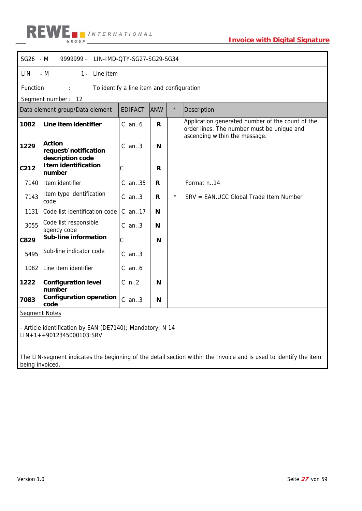|                       | SG26 - M<br>LIN-IMD-QTY-SG27-SG29-SG34<br>9999999.                                            |                |     |         |                                                                                                                                 |  |  |  |  |  |
|-----------------------|-----------------------------------------------------------------------------------------------|----------------|-----|---------|---------------------------------------------------------------------------------------------------------------------------------|--|--|--|--|--|
| LIN                   | - M<br>Line item<br>$1 -$                                                                     |                |     |         |                                                                                                                                 |  |  |  |  |  |
|                       | Function<br>To identify a line item and configuration                                         |                |     |         |                                                                                                                                 |  |  |  |  |  |
| Segment number:<br>12 |                                                                                               |                |     |         |                                                                                                                                 |  |  |  |  |  |
|                       | Data element group/Data element                                                               | <b>EDIFACT</b> | ANW | $\star$ | Description                                                                                                                     |  |  |  |  |  |
| 1082                  | Line item identifier                                                                          | $C$ an $6$     | R   |         | Application generated number of the count of the<br>order lines. The number must be unique and<br>ascending within the message. |  |  |  |  |  |
| 1229                  | <b>Action</b><br>request/notification<br>description code                                     | $C$ an3        | N   |         |                                                                                                                                 |  |  |  |  |  |
| C212                  | Item identification<br>number                                                                 | Ć              | R   |         |                                                                                                                                 |  |  |  |  |  |
| 7140                  | Item identifier                                                                               | C an35         | R   |         | Format n14                                                                                                                      |  |  |  |  |  |
| 7143                  | Item type identification<br>code                                                              | $C$ an3        | R.  | $\star$ | SRV = EAN.UCC Global Trade Item Number                                                                                          |  |  |  |  |  |
| 1131                  | Code list identification code                                                                 | $C$ an17       | N   |         |                                                                                                                                 |  |  |  |  |  |
| 3055                  | Code list responsible<br>agency code                                                          | $C$ an. $3$    | N   |         |                                                                                                                                 |  |  |  |  |  |
| C829                  | <b>Sub-line information</b>                                                                   | Ć              | N   |         |                                                                                                                                 |  |  |  |  |  |
| 5495                  | Sub-line indicator code                                                                       | $C$ an3        |     |         |                                                                                                                                 |  |  |  |  |  |
|                       | 1082 Line item identifier                                                                     | $C$ an $6$     |     |         |                                                                                                                                 |  |  |  |  |  |
| 1222                  | <b>Configuration level</b><br>number                                                          | $C_n$ .2       | N   |         |                                                                                                                                 |  |  |  |  |  |
| 7083                  | <b>Configuration operation</b><br>code                                                        | $C$ an3        | N   |         |                                                                                                                                 |  |  |  |  |  |
|                       | <b>Segment Notes</b>                                                                          |                |     |         |                                                                                                                                 |  |  |  |  |  |
|                       | - Article identification by EAN (DE7140); Mandatory; N 14<br>$LIN + 1 + 9012345000103$ : SRV' |                |     |         |                                                                                                                                 |  |  |  |  |  |
| being invoiced.       |                                                                                               |                |     |         | The LIN-segment indicates the beginning of the detail section within the Invoice and is used to identify the item               |  |  |  |  |  |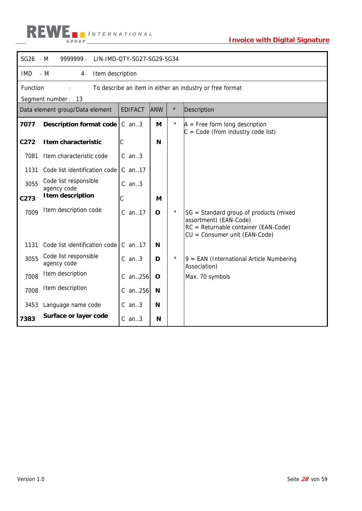| SG26 - M<br>LIN-IMD-QTY-SG27-SG29-SG34<br>9999999 - |                                                                      |                |             |          |                                                                                                                                              |  |  |  |  |  |
|-----------------------------------------------------|----------------------------------------------------------------------|----------------|-------------|----------|----------------------------------------------------------------------------------------------------------------------------------------------|--|--|--|--|--|
| <b>IMD</b>                                          | Item description<br>- M<br>$4 -$                                     |                |             |          |                                                                                                                                              |  |  |  |  |  |
|                                                     | Function<br>To describe an item in either an industry or free format |                |             |          |                                                                                                                                              |  |  |  |  |  |
|                                                     | Segment number: 13                                                   |                |             |          |                                                                                                                                              |  |  |  |  |  |
|                                                     | Data element group/Data element                                      | <b>EDIFACT</b> | ANW         | $\star$  | Description                                                                                                                                  |  |  |  |  |  |
| 7077                                                | <b>Description format code</b>                                       | $C$ an3        | M           | $\star$  | $A = Free form long description$<br>$C = Code (from industry code list)$                                                                     |  |  |  |  |  |
| C272                                                | I tem characteristic                                                 | С              | N           |          |                                                                                                                                              |  |  |  |  |  |
| 7081                                                | Item characteristic code                                             | $C$ an3        |             |          |                                                                                                                                              |  |  |  |  |  |
| 1131                                                | Code list identification code                                        | $C$ an17       |             |          |                                                                                                                                              |  |  |  |  |  |
| 3055                                                | Code list responsible<br>agency code                                 | $C$ an3        |             |          |                                                                                                                                              |  |  |  |  |  |
| C273                                                | <b>Item description</b>                                              | С              | М           |          |                                                                                                                                              |  |  |  |  |  |
| 7009                                                | Item description code                                                | $C$ an. 17     | $\Omega$    | $^\star$ | $SG = Standard group of products (mixed)$<br>assortment) (EAN-Code)<br>RC = Returnable container (EAN-Code)<br>CU = Consumer unit (EAN-Code) |  |  |  |  |  |
| 1131                                                | Code list identification code                                        | $C$ an. 17     | N           |          |                                                                                                                                              |  |  |  |  |  |
| 3055                                                | Code list responsible<br>agency code                                 | $C$ an3        | D           | $\star$  | $9 = EAN$ (International Article Numbering<br>Association)                                                                                   |  |  |  |  |  |
| 7008                                                | Item description                                                     | C an256        | $\mathbf 0$ |          | Max. 70 symbols                                                                                                                              |  |  |  |  |  |
| 7008                                                | Item description                                                     | C an256        | N           |          |                                                                                                                                              |  |  |  |  |  |
| 3453                                                | Language name code                                                   | $C$ an3        | N           |          |                                                                                                                                              |  |  |  |  |  |
| 7383                                                | Surface or layer code                                                | $C$ an3        | N           |          |                                                                                                                                              |  |  |  |  |  |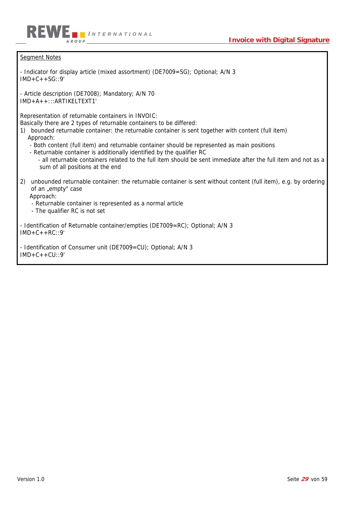

#### Segment Notes

- Indicator for display article (mixed assortment) (DE7009=SG); Optional; A/N 3  $IMD+C++SG::9'$ - Article description (DE7008); Mandatory; A/N 70 IMD+A++:::ARTIKELTEXT1' Representation of returnable containers in INVOIC: Basically there are 2 types of returnable containers to be differed: 1) bounded returnable container: the returnable container is sent together with content (full item) Approach: - Both content (full item) and returnable container should be represented as main positions - Returnable container is additionally identified by the qualifier RC - all returnable containers related to the full item should be sent immediate after the full item and not as a sum of all positions at the end 2) unbounded returnable container: the returnable container is sent without content (full item), e.g. by ordering of an "empty" case Approach: - Returnable container is represented as a normal article - The qualifier RC is not set - Identification of Returnable container/empties (DE7009=RC); Optional; A/N 3  $IMD+C++RC::9'$ - Identification of Consumer unit (DE7009=CU); Optional; A/N 3  $IMD+C++CU::9'$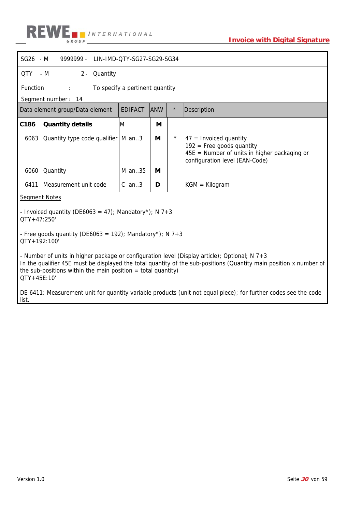

| $SG26 - M$<br>LIN-IMD-QTY-SG27-SG29-SG34<br>9999999.                                                                                                                                                                                                                                                 |                                 |            |         |                                                                                                                                             |  |  |  |  |  |
|------------------------------------------------------------------------------------------------------------------------------------------------------------------------------------------------------------------------------------------------------------------------------------------------------|---------------------------------|------------|---------|---------------------------------------------------------------------------------------------------------------------------------------------|--|--|--|--|--|
| QTY<br>- M<br>2 - Quantity                                                                                                                                                                                                                                                                           |                                 |            |         |                                                                                                                                             |  |  |  |  |  |
| Function                                                                                                                                                                                                                                                                                             | To specify a pertinent quantity |            |         |                                                                                                                                             |  |  |  |  |  |
| Segment number: 14                                                                                                                                                                                                                                                                                   |                                 |            |         |                                                                                                                                             |  |  |  |  |  |
| Data element group/Data element                                                                                                                                                                                                                                                                      | <b>EDIFACT</b>                  | <b>ANW</b> | $\star$ | Description                                                                                                                                 |  |  |  |  |  |
| C186<br><b>Quantity details</b>                                                                                                                                                                                                                                                                      | M                               | М          |         |                                                                                                                                             |  |  |  |  |  |
| 6063<br>Quantity type code qualifier   M an3                                                                                                                                                                                                                                                         |                                 | M          | $\star$ | $47 =$ Invoiced quantity<br>$192$ = Free goods quantity<br>$45E$ = Number of units in higher packaging or<br>configuration level (EAN-Code) |  |  |  |  |  |
| 6060 Quantity                                                                                                                                                                                                                                                                                        | M an35                          | M          |         |                                                                                                                                             |  |  |  |  |  |
| Measurement unit code<br>6411                                                                                                                                                                                                                                                                        | $C$ an. $3$                     | D          |         | $KGM = Kilogram$                                                                                                                            |  |  |  |  |  |
| <b>Segment Notes</b>                                                                                                                                                                                                                                                                                 |                                 |            |         |                                                                                                                                             |  |  |  |  |  |
| - Invoiced quantity (DE6063 = 47); Mandatory*); N 7+3<br>$QTY + 47:250'$                                                                                                                                                                                                                             |                                 |            |         |                                                                                                                                             |  |  |  |  |  |
| - Free goods quantity (DE6063 = 192); Mandatory*); N 7+3<br>QTY+192:100'                                                                                                                                                                                                                             |                                 |            |         |                                                                                                                                             |  |  |  |  |  |
| - Number of units in higher package or configuration level (Display article); Optional; N 7+3<br>In the qualifier 45E must be displayed the total quantity of the sub-positions (Quantity main position x number of<br>the sub-positions within the main position $=$ total quantity)<br>QTY+45E:10' |                                 |            |         |                                                                                                                                             |  |  |  |  |  |
| list.                                                                                                                                                                                                                                                                                                |                                 |            |         | DE 6411: Measurement unit for quantity variable products (unit not equal piece); for further codes see the code                             |  |  |  |  |  |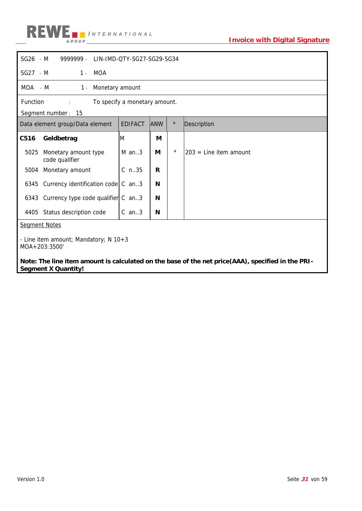

| SG26 - M                                                                                                                        | 9999999.<br>LIN-IMD-QTY-SG27-SG29-SG34               |                               |            |         |                         |  |  |
|---------------------------------------------------------------------------------------------------------------------------------|------------------------------------------------------|-------------------------------|------------|---------|-------------------------|--|--|
| SG27 - M                                                                                                                        | 1 - MOA                                              |                               |            |         |                         |  |  |
| MOA - M                                                                                                                         | Monetary amount<br>$1 -$                             |                               |            |         |                         |  |  |
| Function                                                                                                                        | $\ddot{\cdot}$                                       | To specify a monetary amount. |            |         |                         |  |  |
|                                                                                                                                 | Segment number: 15                                   |                               |            |         |                         |  |  |
|                                                                                                                                 | Data element group/Data element                      | <b>EDIFACT</b>                | <b>ANW</b> | $\star$ | Description             |  |  |
| C516                                                                                                                            | Geldbetrag                                           | M                             | M          |         |                         |  |  |
| 5025                                                                                                                            | Monetary amount type<br>code qualifier               | $M$ an. 3                     | М          | $\star$ | 1203 = Line item amount |  |  |
| 5004                                                                                                                            | Monetary amount                                      | $C$ n.35                      | R          |         |                         |  |  |
|                                                                                                                                 | 6345 Currency identification code $\mathcal C$ an. 3 |                               | N          |         |                         |  |  |
|                                                                                                                                 | 6343 Currency type code qualifier C an3              |                               | N          |         |                         |  |  |
|                                                                                                                                 | 4405 Status description code                         | $C$ an3                       | N          |         |                         |  |  |
|                                                                                                                                 | <b>Segment Notes</b>                                 |                               |            |         |                         |  |  |
| - Line item amount; Mandatory; N 10+3<br>MOA+203:3500'                                                                          |                                                      |                               |            |         |                         |  |  |
| Note: The line item amount is calculated on the base of the net price(AAA), specified in the PRI-<br><b>Segment X Quantity!</b> |                                                      |                               |            |         |                         |  |  |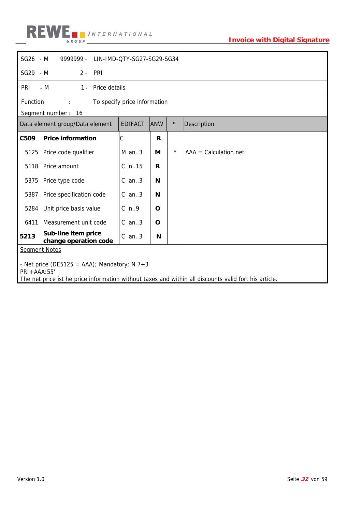

| SG26 - M                                                                                                                                                                   | LIN-IMD-QTY-SG27-SG29-SG34<br>9999999 -      |                              |            |         |                         |  |
|----------------------------------------------------------------------------------------------------------------------------------------------------------------------------|----------------------------------------------|------------------------------|------------|---------|-------------------------|--|
| SG29 - M                                                                                                                                                                   | $2 -$<br>PRI                                 |                              |            |         |                         |  |
| <b>PRI</b>                                                                                                                                                                 | 1 - Price details<br>- M                     |                              |            |         |                         |  |
| Function                                                                                                                                                                   | $\ddot{\phantom{a}}$                         | To specify price information |            |         |                         |  |
|                                                                                                                                                                            | Segment number: 16                           |                              |            |         |                         |  |
|                                                                                                                                                                            | Data element group/Data element              | <b>EDIFACT</b>               | <b>ANW</b> | $\star$ | Description             |  |
| C509                                                                                                                                                                       | <b>Price information</b>                     | С                            | R          |         |                         |  |
| 5125                                                                                                                                                                       | Price code qualifier                         | $M$ an3                      | М          | $\star$ | $AAA = Calculation net$ |  |
| 5118                                                                                                                                                                       | Price amount                                 | $C$ n. 15                    | R          |         |                         |  |
| 5375                                                                                                                                                                       | Price type code                              | $C$ an3                      | N          |         |                         |  |
| 5387                                                                                                                                                                       | Price specification code                     | $C$ an. $3$                  | N          |         |                         |  |
| 5284                                                                                                                                                                       | Unit price basis value                       | $C$ n.g                      | O          |         |                         |  |
| 6411                                                                                                                                                                       | Measurement unit code                        | $C$ an3                      | O          |         |                         |  |
| 5213                                                                                                                                                                       | Sub-line item price<br>change operation code | $C$ an3                      | N          |         |                         |  |
|                                                                                                                                                                            | <b>Segment Notes</b>                         |                              |            |         |                         |  |
| - Net price (DE5125 = AAA); Mandatory; N $7+3$<br>$PRI + AAA:55'$<br>The net price ist he price information without taxes and within all discounts valid fort his article. |                                              |                              |            |         |                         |  |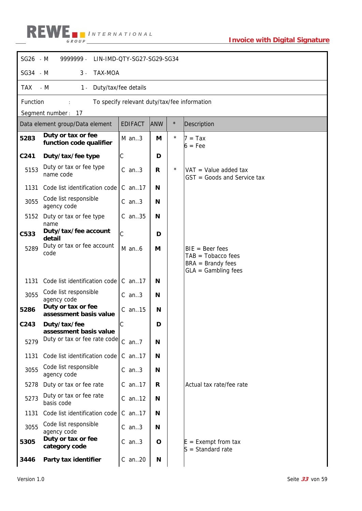| SG26 - M | 9999999 -<br>LIN-IMD-QTY-SG27-SG29-SG34       |                                              |            |         |                                                                  |  |  |  |
|----------|-----------------------------------------------|----------------------------------------------|------------|---------|------------------------------------------------------------------|--|--|--|
| SG34 - M | <b>TAX-MOA</b><br>$3 -$                       |                                              |            |         |                                                                  |  |  |  |
| TAX      | $-M$<br>Duty/tax/fee details<br>$1 -$         |                                              |            |         |                                                                  |  |  |  |
| Function |                                               | To specify relevant duty/tax/fee information |            |         |                                                                  |  |  |  |
|          | Segment number: 17                            |                                              |            |         |                                                                  |  |  |  |
|          | Data element group/Data element               | <b>EDIFACT</b>                               | <b>ANW</b> | $\star$ | Description                                                      |  |  |  |
| 5283     | Duty or tax or fee<br>function code qualifier | $M$ an3                                      | M          | $\star$ | $7 = Tax$<br>$6 = Fee$                                           |  |  |  |
| C241     | Duty/tax/fee type                             | С                                            | D          |         |                                                                  |  |  |  |
| 5153     | Duty or tax or fee type<br>name code          | $C$ an3                                      | R.         | $\star$ | $VAT = Value added tax$<br>$GST = Goods$ and Service tax         |  |  |  |
| 1131     | Code list identification code                 | $C$ an17                                     | N          |         |                                                                  |  |  |  |
| 3055     | Code list responsible<br>agency code          | $C$ an3                                      | N          |         |                                                                  |  |  |  |
| 5152     | Duty or tax or fee type<br>name               | C an35                                       | N          |         |                                                                  |  |  |  |
| C533     | Duty/tax/fee account<br>detail                | $\mathsf{C}$                                 | D          |         |                                                                  |  |  |  |
| 5289     | Duty or tax or fee account<br>code            | $M$ an $6$                                   | M          |         | $BIE = Beer fees$<br>$TAB = Tobacco fees$<br>$BRA =$ Brandy fees |  |  |  |
| 1131     | Code list identification code                 | C an17                                       | N          |         | $GLA = Gambling fees$                                            |  |  |  |
| 3055     | Code list responsible                         | $C$ an3                                      | N          |         |                                                                  |  |  |  |
| 5286     | agency code<br>Duty or tax or fee             | $C$ an. 15                                   | N          |         |                                                                  |  |  |  |
|          | assessment basis value                        |                                              |            |         |                                                                  |  |  |  |
| C243     | Duty/tax/fee<br>assessment basis value        | $\mathsf C$                                  | D          |         |                                                                  |  |  |  |
| 5279     | Duty or tax or fee rate code                  | $C$ an $7$                                   | N          |         |                                                                  |  |  |  |
| 1131     | Code list identification code                 | C an17                                       | N          |         |                                                                  |  |  |  |
| 3055     | Code list responsible<br>agency code          | $C$ an3                                      | N          |         |                                                                  |  |  |  |
| 5278     | Duty or tax or fee rate                       | C an17                                       | R          |         | Actual tax rate/fee rate                                         |  |  |  |
| 5273     | Duty or tax or fee rate<br>basis code         | $C$ an12                                     | N          |         |                                                                  |  |  |  |
| 1131     | Code list identification code                 | C an17                                       | N          |         |                                                                  |  |  |  |
| 3055     | Code list responsible<br>agency code          | $C$ an3                                      | N          |         |                                                                  |  |  |  |
| 5305     | Duty or tax or fee<br>category code           | $C$ an3                                      | O          |         | $E =$ Exempt from tax<br>$S = Standard rate$                     |  |  |  |
| 3446     | Party tax identifier                          | C an20                                       | N          |         |                                                                  |  |  |  |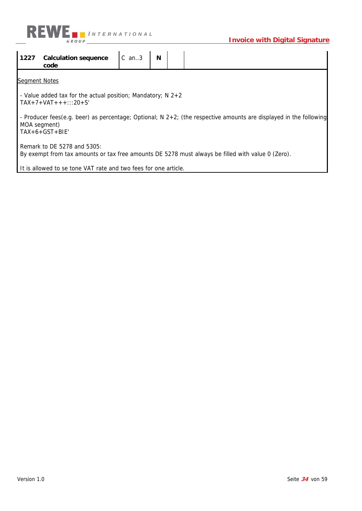

| 1227          | <b>Calculation sequence</b><br>code                                                                                                                   | $C$ an. $3$ | N |  |                                                                                                   |  |  |  |  |
|---------------|-------------------------------------------------------------------------------------------------------------------------------------------------------|-------------|---|--|---------------------------------------------------------------------------------------------------|--|--|--|--|
| Segment Notes |                                                                                                                                                       |             |   |  |                                                                                                   |  |  |  |  |
|               | - Value added tax for the actual position; Mandatory; $N$ 2+2<br>$TAX+7+VAT++$ :::20+S'                                                               |             |   |  |                                                                                                   |  |  |  |  |
|               | - Producer fees(e.g. beer) as percentage; Optional; N 2+2; (the respective amounts are displayed in the following<br>MOA segment)<br>$TAX+6+GST+BIE'$ |             |   |  |                                                                                                   |  |  |  |  |
|               | Remark to DE 5278 and 5305:                                                                                                                           |             |   |  | By exempt from tax amounts or tax free amounts DE 5278 must always be filled with value 0 (Zero). |  |  |  |  |
|               | It is allowed to se tone VAT rate and two fees for one article.                                                                                       |             |   |  |                                                                                                   |  |  |  |  |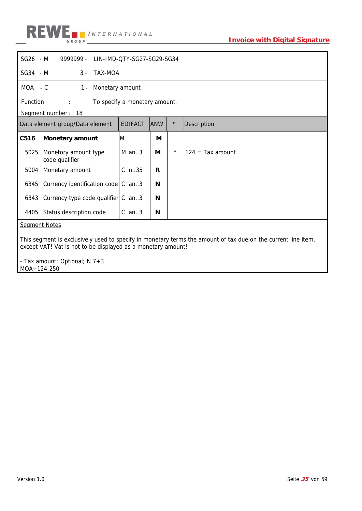| SG26 - M                                                                                                                                                                      | LIN-IMD-QTY-SG27-SG29-SG34<br>9999999.                                       |                               |            |         |                    |  |  |
|-------------------------------------------------------------------------------------------------------------------------------------------------------------------------------|------------------------------------------------------------------------------|-------------------------------|------------|---------|--------------------|--|--|
| SG34 - M                                                                                                                                                                      | TAX-MOA<br>$3 -$                                                             |                               |            |         |                    |  |  |
| MOA - C                                                                                                                                                                       | Monetary amount<br>$1 -$                                                     |                               |            |         |                    |  |  |
| Function                                                                                                                                                                      |                                                                              | To specify a monetary amount. |            |         |                    |  |  |
|                                                                                                                                                                               | Segment number: 18                                                           |                               |            |         |                    |  |  |
|                                                                                                                                                                               | Data element group/Data element                                              | <b>EDIFACT</b>                | <b>ANW</b> | $\star$ | Description        |  |  |
| C516                                                                                                                                                                          | <b>Monetary amount</b>                                                       | M                             | M          |         |                    |  |  |
| 5025                                                                                                                                                                          | Monetory amount type<br>code qualifier                                       | $M$ an. 3                     | М          | $\star$ | $124 =$ Tax amount |  |  |
| 5004                                                                                                                                                                          | Monetary amount                                                              | $C$ n.35                      | R          |         |                    |  |  |
|                                                                                                                                                                               | 6345 Currency identification code $\begin{bmatrix} C & a n \end{bmatrix}$ .3 |                               | N          |         |                    |  |  |
|                                                                                                                                                                               | 6343 Currency type code qualifier C an3                                      |                               | N          |         |                    |  |  |
| 4405                                                                                                                                                                          | Status description code                                                      | $C$ an3                       | N          |         |                    |  |  |
|                                                                                                                                                                               | <b>Segment Notes</b>                                                         |                               |            |         |                    |  |  |
| This segment is exclusively used to specify in monetary terms the amount of tax due on the current line item,<br>except VAT! Vat is not to be displayed as a monetary amount! |                                                                              |                               |            |         |                    |  |  |
| MOA+124:250'                                                                                                                                                                  | - Tax amount; Optional; N 7+3                                                |                               |            |         |                    |  |  |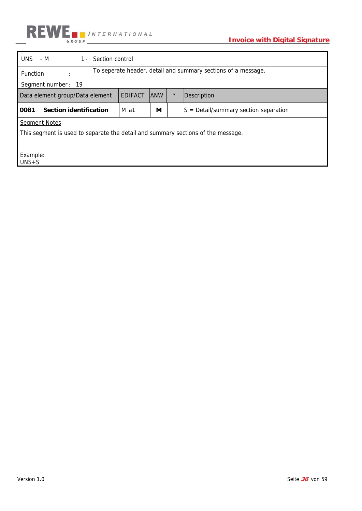

| UNS.<br>- M<br>$1 -$                                                                       | Section control                                               |   |  |                                         |  |  |  |
|--------------------------------------------------------------------------------------------|---------------------------------------------------------------|---|--|-----------------------------------------|--|--|--|
| <b>Function</b>                                                                            | To seperate header, detail and summary sections of a message. |   |  |                                         |  |  |  |
| Segment number: 19                                                                         |                                                               |   |  |                                         |  |  |  |
| $\star$<br><b>EDIFACT</b><br>Data element group/Data element<br><b>JANW</b><br>Description |                                                               |   |  |                                         |  |  |  |
| Section identification<br>0081                                                             | $M$ a1                                                        | М |  | $S = Detail/summary section separation$ |  |  |  |
| <b>Segment Notes</b>                                                                       |                                                               |   |  |                                         |  |  |  |
| This segment is used to separate the detail and summary sections of the message.           |                                                               |   |  |                                         |  |  |  |
|                                                                                            |                                                               |   |  |                                         |  |  |  |
| Example:<br>$UNS + S'$                                                                     |                                                               |   |  |                                         |  |  |  |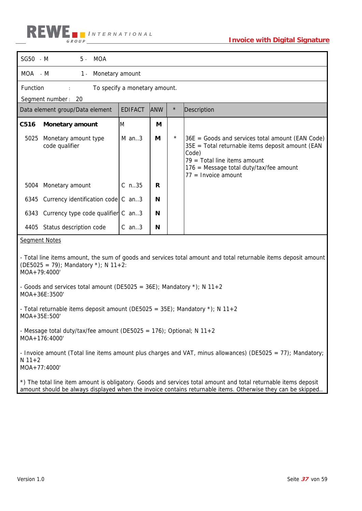|                          | SG50 - M<br>$5 -$<br>MOA                                                                   |                               |            |         |                                                                                                                                                                                                                                |  |  |
|--------------------------|--------------------------------------------------------------------------------------------|-------------------------------|------------|---------|--------------------------------------------------------------------------------------------------------------------------------------------------------------------------------------------------------------------------------|--|--|
|                          | MOA - M<br>$1 -$<br>Monetary amount                                                        |                               |            |         |                                                                                                                                                                                                                                |  |  |
| Function                 |                                                                                            | To specify a monetary amount. |            |         |                                                                                                                                                                                                                                |  |  |
|                          | Segment number: 20                                                                         |                               |            |         |                                                                                                                                                                                                                                |  |  |
|                          | Data element group/Data element                                                            | <b>EDIFACT</b>                | <b>ANW</b> | $\star$ | Description                                                                                                                                                                                                                    |  |  |
| C516                     | <b>Monetary amount</b>                                                                     | M                             | M          |         |                                                                                                                                                                                                                                |  |  |
| 5025                     | Monetary amount type<br>code qualifier                                                     | $M$ an. 3                     | M          | $\star$ | $36E$ = Goods and services total amount (EAN Code)<br>35E = Total returnable items deposit amount (EAN<br>Code)<br>79 = Total line items amount<br>176 = Message total duty/tax/fee amount<br>$77 =$ Invoice amount            |  |  |
| 5004                     | Monetary amount                                                                            | $C$ n.35                      | R          |         |                                                                                                                                                                                                                                |  |  |
| 6345                     | Currency identification code C an3                                                         |                               | N          |         |                                                                                                                                                                                                                                |  |  |
| 6343                     | Currency type code qualifier C an3                                                         |                               | N          |         |                                                                                                                                                                                                                                |  |  |
|                          | 4405 Status description code                                                               | $C$ an3                       | N          |         |                                                                                                                                                                                                                                |  |  |
| <b>Segment Notes</b>     |                                                                                            |                               |            |         |                                                                                                                                                                                                                                |  |  |
| MOA+79:4000'             | $(DE5025 = 79)$ ; Mandatory *); N 11+2:                                                    |                               |            |         | - Total line items amount, the sum of goods and services total amount and total returnable items deposit amount                                                                                                                |  |  |
|                          | - Goods and services total amount (DE5025 = $36E$ ); Mandatory *); N 11+2<br>MOA+36E:3500' |                               |            |         |                                                                                                                                                                                                                                |  |  |
| MOA+35E:500'             | - Total returnable items deposit amount (DE5025 = 35E); Mandatory $\star$ ); N 11+2        |                               |            |         |                                                                                                                                                                                                                                |  |  |
|                          | - Message total duty/tax/fee amount (DE5025 = 176); Optional; N $11+2$<br>MOA+176:4000'    |                               |            |         |                                                                                                                                                                                                                                |  |  |
| $N$ 11+2<br>MOA+77:4000' |                                                                                            |                               |            |         | - Invoice amount (Total line items amount plus charges and VAT, minus allowances) (DE5025 = 77); Mandatory;                                                                                                                    |  |  |
|                          |                                                                                            |                               |            |         | *) The total line item amount is obligatory. Goods and services total amount and total returnable items deposit<br>amount should be always displayed when the invoice contains returnable items. Otherwise they can be skipped |  |  |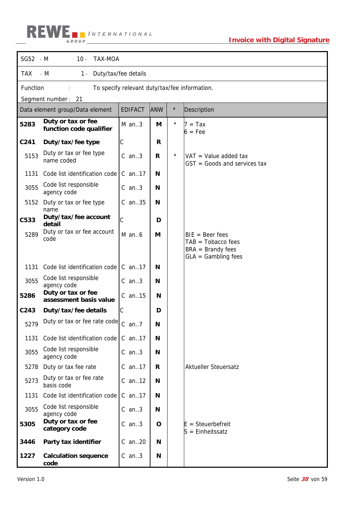

| SG52 - M | $10 -$<br>TAX-MOA                             |                                               |     |            |                                                                  |  |  |
|----------|-----------------------------------------------|-----------------------------------------------|-----|------------|------------------------------------------------------------------|--|--|
| TAX      | Duty/tax/fee details<br>- M<br>$1 -$          |                                               |     |            |                                                                  |  |  |
| Function |                                               | To specify relevant duty/tax/fee information. |     |            |                                                                  |  |  |
|          | Segment number: 21                            |                                               |     |            |                                                                  |  |  |
|          | Data element group/Data element               | <b>EDIFACT</b>                                | ANW | $\star$    | Description                                                      |  |  |
| 5283     | Duty or tax or fee<br>function code qualifier | $M$ an3                                       | M   | $\star$    | $7 = Tax$<br>$6 = Fee$                                           |  |  |
| C241     | Duty/tax/fee type                             | С                                             | R   |            |                                                                  |  |  |
| 5153     | Duty or tax or fee type<br>name coded         | $C$ an3                                       | R   | $^{\star}$ | $VAT = Value added tax$<br>$GST = Goods$ and services tax        |  |  |
| 1131     | Code list identification code                 | $C$ an. 17                                    | N   |            |                                                                  |  |  |
| 3055     | Code list responsible<br>agency code          | $C$ an3                                       | N   |            |                                                                  |  |  |
| 5152     | Duty or tax or fee type<br>name               | C an35                                        | N   |            |                                                                  |  |  |
| C533     | Duty/tax/fee account<br>detail                | C                                             | D   |            |                                                                  |  |  |
| 5289     | Duty or tax or fee account<br>code            | $M$ an $6$                                    | M   |            | $BIE = Beer fees$<br>$TAB = Tobacco fees$<br>$BRA =$ Brandy fees |  |  |
|          |                                               |                                               |     |            | $GLA = Gambling fees$                                            |  |  |
| 1131     | Code list identification code                 | $C$ an. 17                                    | N   |            |                                                                  |  |  |
| 3055     | Code list responsible<br>agency code          | $C$ an3                                       | N   |            |                                                                  |  |  |
| 5286     | Duty or tax or fee<br>assessment basis value  | $C$ an. 15                                    | N   |            |                                                                  |  |  |
| C243     | Duty/tax/fee details                          | С                                             | D   |            |                                                                  |  |  |
| 5279     | Duty or tax or fee rate code                  | $\mathsf C$<br>an.7                           | N   |            |                                                                  |  |  |
| 1131     | Code list identification code                 | $C$ an. 17                                    | N   |            |                                                                  |  |  |
| 3055     | Code list responsible<br>agency code          | $C$ an3                                       | N   |            |                                                                  |  |  |
| 5278     | Duty or tax fee rate                          | C an17                                        | R   |            | <b>Aktueller Steuersatz</b>                                      |  |  |
| 5273     | Duty or tax or fee rate<br>basis code         | $C$ an. 12                                    | N   |            |                                                                  |  |  |
| 1131     | Code list identification code                 | $C$ an. 17                                    | N   |            |                                                                  |  |  |
| 3055     | Code list responsible<br>agency code          | $C$ an3                                       | N   |            |                                                                  |  |  |
| 5305     | Duty or tax or fee<br>category code           | $C$ an3                                       | O   |            | $=$ Steuerbefreit<br>$S =$ Einheitssatz                          |  |  |
| 3446     | Party tax identifier                          | C an20                                        | N   |            |                                                                  |  |  |
| 1227     | <b>Calculation sequence</b><br>code           | $C$ an3                                       | N   |            |                                                                  |  |  |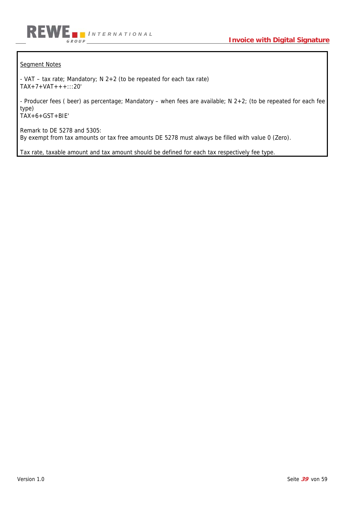

Segment Notes

- VAT – tax rate; Mandatory; N 2+2 (to be repeated for each tax rate) TAX+7+VAT+++:::20'

- Producer fees ( beer) as percentage; Mandatory – when fees are available; N 2+2; (to be repeated for each fee type)

TAX+6+GST+BIE'

Remark to DE 5278 and 5305: By exempt from tax amounts or tax free amounts DE 5278 must always be filled with value 0 (Zero).

Tax rate, taxable amount and tax amount should be defined for each tax respectively fee type.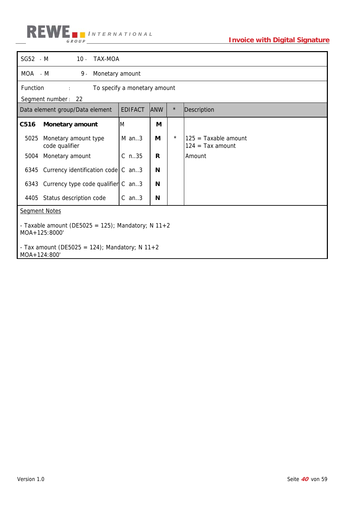|                                                                     | $SG52 - M$<br>10 - TAX-MOA                                                                |            |   |         |                                              |  |  |
|---------------------------------------------------------------------|-------------------------------------------------------------------------------------------|------------|---|---------|----------------------------------------------|--|--|
|                                                                     | MOA - M<br>Monetary amount<br>$9 -$                                                       |            |   |         |                                              |  |  |
|                                                                     | Function<br>To specify a monetary amount<br>$\mathcal{L}$                                 |            |   |         |                                              |  |  |
|                                                                     | Segment number: 22                                                                        |            |   |         |                                              |  |  |
|                                                                     | $\star$<br>Data element group/Data element<br><b>EDIFACT</b><br><b>ANW</b><br>Description |            |   |         |                                              |  |  |
| C516                                                                | <b>Monetary amount</b>                                                                    | M          | М |         |                                              |  |  |
| 5025                                                                | Monetary amount type<br>code qualifier                                                    | $M$ an. 3  | М | $\star$ | $125 =$ Taxable amount<br>$124 =$ Tax amount |  |  |
| 5004                                                                | Monetary amount                                                                           | $C_{n.35}$ | R |         | Amount                                       |  |  |
| 6345                                                                | Currency identification code $\mathcal C$ an. 3                                           |            | N |         |                                              |  |  |
|                                                                     | 6343 Currency type code qualifier C an3                                                   |            | N |         |                                              |  |  |
| 4405                                                                | Status description code                                                                   | $C$ an3    | N |         |                                              |  |  |
| <b>Segment Notes</b>                                                |                                                                                           |            |   |         |                                              |  |  |
| - Taxable amount (DE5025 = 125); Mandatory; N 11+2<br>MOA+125:8000' |                                                                                           |            |   |         |                                              |  |  |
|                                                                     | - Tax amount (DE5025 = 124); Mandatory; N $11+2$<br>MOA+124:800'                          |            |   |         |                                              |  |  |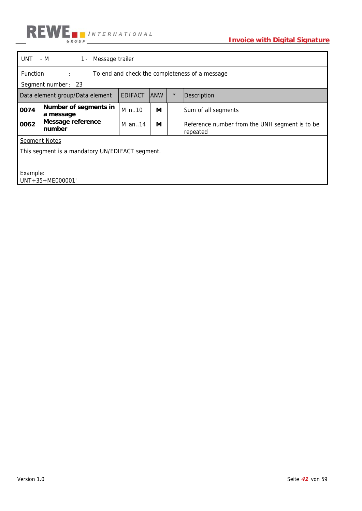

| <b>UNT</b>                         | $-M$<br>1 - Message trailer                                                               |            |   |  |                                                            |  |  |
|------------------------------------|-------------------------------------------------------------------------------------------|------------|---|--|------------------------------------------------------------|--|--|
|                                    | Function<br>To end and check the completeness of a message<br><b>Contract Contract</b>    |            |   |  |                                                            |  |  |
|                                    | Segment number: 23                                                                        |            |   |  |                                                            |  |  |
|                                    | $\star$<br><b>EDIFACT</b><br>Data element group/Data element<br><b>ANW</b><br>Description |            |   |  |                                                            |  |  |
| 0074                               | Number of segments in<br>a message                                                        | M n10      | М |  | Sum of all segments                                        |  |  |
| 0062                               | Message reference<br>number                                                               | $M$ an. 14 | М |  | Reference number from the UNH segment is to be<br>repeated |  |  |
|                                    | <b>Segment Notes</b>                                                                      |            |   |  |                                                            |  |  |
|                                    | This segment is a mandatory UN/EDIFACT segment.                                           |            |   |  |                                                            |  |  |
|                                    |                                                                                           |            |   |  |                                                            |  |  |
| Example:<br>$UNT + 35 + ME000001'$ |                                                                                           |            |   |  |                                                            |  |  |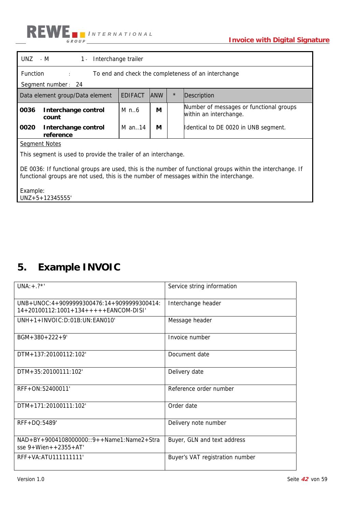

| $UNZ - M$<br>1 - Interchange trailer                                                                                                                                                                 |                                                     |   |  |                                                                   |  |  |  |
|------------------------------------------------------------------------------------------------------------------------------------------------------------------------------------------------------|-----------------------------------------------------|---|--|-------------------------------------------------------------------|--|--|--|
| <b>Function</b><br>$\dot{\gamma}$                                                                                                                                                                    | To end and check the completeness of an interchange |   |  |                                                                   |  |  |  |
| Segment number: 24                                                                                                                                                                                   |                                                     |   |  |                                                                   |  |  |  |
| $\star$<br><b>EDIFACT</b><br>Data element group/Data element<br><b>JANW</b><br>Description                                                                                                           |                                                     |   |  |                                                                   |  |  |  |
| 0036<br>Interchange control<br>count                                                                                                                                                                 | M $n.6$                                             | М |  | Number of messages or functional groups<br>within an interchange. |  |  |  |
| 0020<br>Interchange control<br>reference                                                                                                                                                             | $M$ an. 14                                          | М |  | Identical to DE 0020 in UNB segment.                              |  |  |  |
| <b>Segment Notes</b>                                                                                                                                                                                 |                                                     |   |  |                                                                   |  |  |  |
| This segment is used to provide the trailer of an interchange.                                                                                                                                       |                                                     |   |  |                                                                   |  |  |  |
| DE 0036: If functional groups are used, this is the number of functional groups within the interchange. If<br>functional groups are not used, this is the number of messages within the interchange. |                                                     |   |  |                                                                   |  |  |  |
| Example:                                                                                                                                                                                             |                                                     |   |  |                                                                   |  |  |  |
| $UNZ + 5 + 12345555'$                                                                                                                                                                                |                                                     |   |  |                                                                   |  |  |  |

## **5. Example INVOIC**

| $UNA:+.?$ *'                                                                           | Service string information      |
|----------------------------------------------------------------------------------------|---------------------------------|
| $UNB+UNOC: 4+9099999300476:14+9099999300414:$<br>14+20100112:1001+134+++++EANCOM-DISI' | Interchange header              |
| UNH+1+INVOIC:D:01B:UN:EAN010'                                                          | Message header                  |
| $BGM + 380 + 222 + 9'$                                                                 | Invoice number                  |
| DTM+137:20100112:102'                                                                  | Document date                   |
| DTM+35:20100111:102'                                                                   | Delivery date                   |
| RFF+ON:52400011'                                                                       | Reference order number          |
| DTM+171:20100111:102'                                                                  | Order date                      |
| RFF+DQ:5489'                                                                           | Delivery note number            |
| $NAD + BY + 9004108000000::9++Name1:Name2+Stra$<br>$sse 9 + Wien + 2355 + AT'$         | Buyer, GLN and text address     |
| RFF+VA: ATU111111111                                                                   | Buyer's VAT registration number |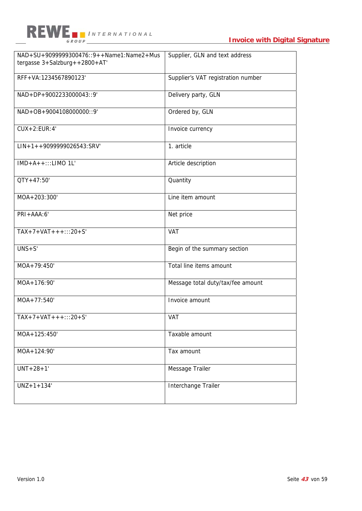

| $NAD + SU + 9099999300476$ :: 9 + + Name1: Name2 + Mus<br>tergasse $3+$ Salzburg + + 2800 + AT' | Supplier, GLN and text address     |
|-------------------------------------------------------------------------------------------------|------------------------------------|
| RFF+VA:1234567890123'                                                                           | Supplier's VAT registration number |
| NAD+DP+9002233000043::9'                                                                        | Delivery party, GLN                |
| NAD+OB+9004108000000::9'                                                                        | Ordered by, GLN                    |
| $CUX+2:EUR:4'$                                                                                  | Invoice currency                   |
| $LIN+1++9099999026543:SRV'$                                                                     | 1. article                         |
| $IMD+A++$ :::LIMO 1L'                                                                           | Article description                |
| $QTY + 47:50'$                                                                                  | Quantity                           |
| MOA+203:300'                                                                                    | Line item amount                   |
| PRI+AAA:6'                                                                                      | Net price                          |
| $TAX+7+VAT+++:::20+S'$                                                                          | <b>VAT</b>                         |
| $UNS + S'$                                                                                      | Begin of the summary section       |
| $MOA + 79:450'$                                                                                 | Total line items amount            |
| MOA+176:90'                                                                                     | Message total duty/tax/fee amount  |
| $MOA + 77:540'$                                                                                 | Invoice amount                     |
| $TAX+7+VAT++$ :::20+S'                                                                          | <b>VAT</b>                         |
| MOA+125:450'                                                                                    | Taxable amount                     |
| MOA+124:90'                                                                                     | Tax amount                         |
| $UNT+28+1'$                                                                                     | Message Trailer                    |
| $UNZ + 1 + 134'$                                                                                | Interchange Trailer                |
|                                                                                                 |                                    |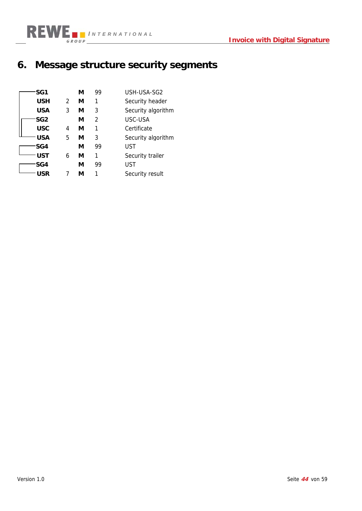

## **6. Message structure security segments**

| SG1             |               | м | 99            | USH-USA-SG2        |
|-----------------|---------------|---|---------------|--------------------|
| <b>USH</b>      | $\mathcal{P}$ | М | 1             | Security header    |
| <b>USA</b>      | 3             | М | 3             | Security algorithm |
| SG <sub>2</sub> |               | М | $\mathcal{P}$ | USC-USA            |
| <b>USC</b>      | 4             | м | 1             | Certificate        |
| <b>USA</b>      | 5             | М | 3             | Security algorithm |
| SG4             |               | М | 99            | UST                |
| UST             | 6             | М | 1             | Security trailer   |
| SG4             |               | М | 99            | UST                |
| USR             |               | М |               | Security result    |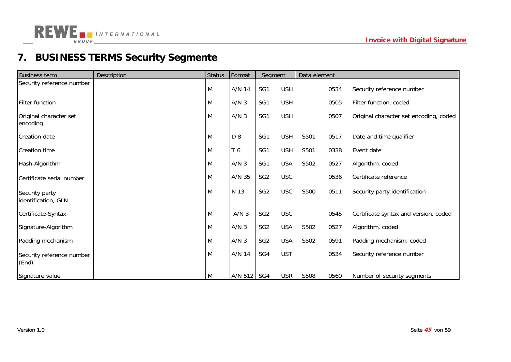

## **7. BUSINESS TERMS Security Segmente**

| <b>Business term</b>                  | Description | <b>Status</b> | Format           | Segment         |            | Data element |      |                                        |
|---------------------------------------|-------------|---------------|------------------|-----------------|------------|--------------|------|----------------------------------------|
| Security reference number             |             | M             | A/N 14           | SG1             | <b>USH</b> |              | 0534 | Security reference number              |
| <b>Filter function</b>                |             | M             | A/N <sub>3</sub> | SG1             | <b>USH</b> |              | 0505 | Filter function, coded                 |
| Original character set<br>encoding    |             | M             | A/N <sub>3</sub> | SG1             | <b>USH</b> |              | 0507 | Original character set encoding, coded |
| <b>Creation date</b>                  |             | M             | D 8              | SG1             | <b>USH</b> | S501         | 0517 | Date and time qualifier                |
| Creation time                         |             | M             | T 6              | SG1             | <b>USH</b> | S501         | 0338 | Event date                             |
| Hash-Algorithm                        |             | M             | A/N <sub>3</sub> | SG1             | <b>USA</b> | S502         | 0527 | Algorithm, coded                       |
| Certificate serial number             |             | M             | A/N 35           | SG <sub>2</sub> | <b>USC</b> |              | 0536 | Certificate reference                  |
| Security party<br>identification, GLN |             | M             | N 13             | SG <sub>2</sub> | <b>USC</b> | S500         | 0511 | Security party identification          |
| Certificate-Syntax                    |             | M             | A/N <sub>3</sub> | SG <sub>2</sub> | <b>USC</b> |              | 0545 | Certificate syntax and version, coded  |
| Signature-Algorithm                   |             | M             | A/N <sub>3</sub> | SG <sub>2</sub> | <b>USA</b> | S502         | 0527 | Algorithm, coded                       |
| Padding mechanism                     |             | M             | A/N <sub>3</sub> | SG <sub>2</sub> | <b>USA</b> | S502         | 0591 | Padding mechanism, coded               |
| Security reference number<br>(End)    |             | M             | A/N 14           | SG4             | <b>UST</b> |              | 0534 | Security reference number              |
| Signature value                       |             | M             | A/N 512 SG4      |                 | <b>USR</b> | S508         | 0560 | Number of security segments            |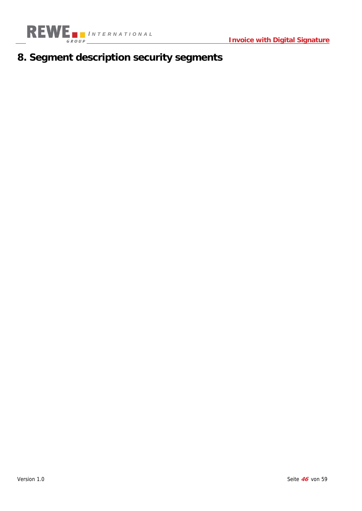

# **8. Segment description security segments**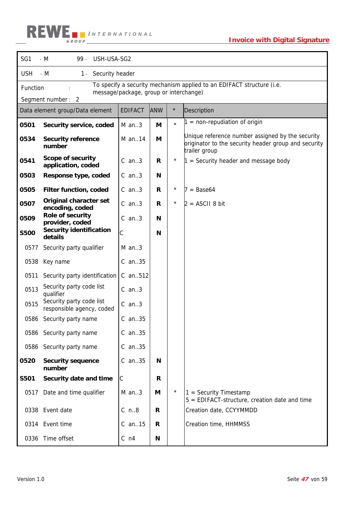

| SG1         | $-M$<br>USH-USA-SG2<br>99.                                                                                                  |                |            |            |                                                                                                                           |  |  |  |
|-------------|-----------------------------------------------------------------------------------------------------------------------------|----------------|------------|------------|---------------------------------------------------------------------------------------------------------------------------|--|--|--|
| <b>USH</b>  | $-M$<br>1 - Security header                                                                                                 |                |            |            |                                                                                                                           |  |  |  |
|             | To specify a security mechanism applied to an EDIFACT structure (i.e.<br>Function<br>message/package, group or interchange) |                |            |            |                                                                                                                           |  |  |  |
|             | Segment number: 2                                                                                                           |                |            |            |                                                                                                                           |  |  |  |
|             | Data element group/Data element                                                                                             | <b>EDIFACT</b> | <b>ANW</b> | $\star$    | Description                                                                                                               |  |  |  |
| 0501        | Security service, coded                                                                                                     | $M$ an3        | М          | $\star$    | $1 = non-repudiation of origin$                                                                                           |  |  |  |
| 0534        | <b>Security reference</b><br>number                                                                                         | M an14         | М          |            | Unique reference number assigned by the security<br>originator to the security header group and security<br>trailer group |  |  |  |
| 0541        | <b>Scope of security</b><br>application, coded                                                                              | $C$ an3        | R          | $^{\star}$ | $1 =$ Security header and message body                                                                                    |  |  |  |
| 0503        | Response type, coded                                                                                                        | $C$ an3        | N          |            |                                                                                                                           |  |  |  |
| 0505        | Filter function, coded                                                                                                      | $C$ an3        | R          | $^\star$   | $7 = Base64$                                                                                                              |  |  |  |
| 0507        | Original character set<br>encoding, coded                                                                                   | $C$ an3        | R          | $^{\star}$ | $2 = ASCII 8 bit$                                                                                                         |  |  |  |
| 0509        | <b>Role of security</b><br>provider, coded                                                                                  | $C$ an3        | N          |            |                                                                                                                           |  |  |  |
| <b>S500</b> | <b>Security identification</b><br>details                                                                                   | C              | N          |            |                                                                                                                           |  |  |  |
| 0577        | Security party qualifier                                                                                                    | $M$ an3        |            |            |                                                                                                                           |  |  |  |
| 0538        | Key name                                                                                                                    | $C$ an. $35$   |            |            |                                                                                                                           |  |  |  |
| 0511        | Security party identification                                                                                               | $C$ an. $512$  |            |            |                                                                                                                           |  |  |  |
| 0513        | Security party code list<br>qualifier                                                                                       | $C$ an3        |            |            |                                                                                                                           |  |  |  |
| 0515        | Security party code list<br>responsible agency, coded                                                                       | $C$ an3        |            |            |                                                                                                                           |  |  |  |
| 0586        | Security party name                                                                                                         | $C$ an. 35     |            |            |                                                                                                                           |  |  |  |
|             | 0586 Security party name                                                                                                    | $C$ an35       |            |            |                                                                                                                           |  |  |  |
| 0586        | Security party name                                                                                                         | $C$ an35       |            |            |                                                                                                                           |  |  |  |
| 0520        | <b>Security sequence</b><br>number                                                                                          | C an35         | N          |            |                                                                                                                           |  |  |  |
| <b>S501</b> | Security date and time                                                                                                      | C              | R          |            |                                                                                                                           |  |  |  |
| 0517        | Date and time qualifier                                                                                                     | $M$ an3        | М          | $\star$    | $1 =$ Security Timestamp<br>5 = EDIFACT-structure, creation date and time                                                 |  |  |  |
|             | 0338 Event date                                                                                                             | $C$ n8         | R          |            | Creation date, CCYYMMDD                                                                                                   |  |  |  |
|             | 0314 Event time                                                                                                             | $C$ an. 15     | R          |            | Creation time, HHMMSS                                                                                                     |  |  |  |
| 0336        | Time offset                                                                                                                 | $C$ n4         | N          |            |                                                                                                                           |  |  |  |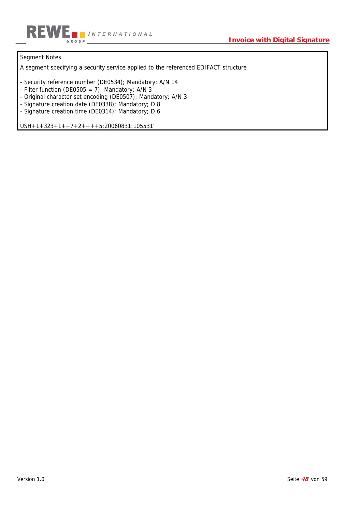

#### Segment Notes

A segment specifying a security service applied to the referenced EDIFACT structure

- Security reference number (DE0534); Mandatory; A/N 14
- Filter function (DE0505 = 7); Mandatory; A/N 3
- Original character set encoding (DE0507); Mandatory; A/N 3
- Signature creation date (DE0338); Mandatory; D 8
- Signature creation time (DE0314); Mandatory; D 6

USH+1+323+1++7+2++++5:20060831:105531'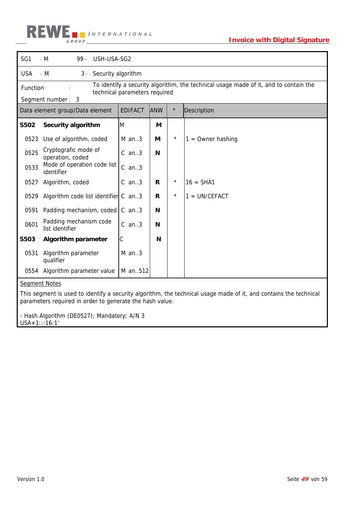

| SG1                  | $-M$<br>USH-USA-SG2<br>$99 -$                                                                                                     |                |            |            |                     |  |  |
|----------------------|-----------------------------------------------------------------------------------------------------------------------------------|----------------|------------|------------|---------------------|--|--|
| <b>USA</b>           | - M<br>3 - Security algorithm                                                                                                     |                |            |            |                     |  |  |
|                      | To identify a security algorithm, the technical usage made of it, and to contain the<br>Function<br>technical parameters required |                |            |            |                     |  |  |
|                      | Segment number: 3                                                                                                                 |                |            |            |                     |  |  |
|                      | Data element group/Data element                                                                                                   | <b>EDIFACT</b> | <b>ANW</b> | $\star$    | <b>Description</b>  |  |  |
| <b>S502</b>          | Security algorithm                                                                                                                | M              | М          |            |                     |  |  |
| 0523                 | Use of algorithm, coded                                                                                                           | $M$ an3        | М          | $^\star$   | $1 =$ Owner hashing |  |  |
| 0525                 | Cryptografic mode of<br>operation, coded                                                                                          | $C$ an3        | N          |            |                     |  |  |
| 0533                 | Mode of operation code list<br>identifier                                                                                         | $C$ an3        |            |            |                     |  |  |
| 0527                 | Algorithm, coded                                                                                                                  | $C$ an3        | R          | $^{\star}$ | $16 = SHA1$         |  |  |
| 0529                 | Algorithm code list identifier C an3                                                                                              |                | R          | $\star$    | $1 = UN/CEFACT$     |  |  |
| 0591                 | Padding mechanism, coded                                                                                                          | $C$ an3        | N          |            |                     |  |  |
| 0601                 | Padding mechanism code<br>list identifier                                                                                         | $C$ an3        | N          |            |                     |  |  |
| <b>S503</b>          | <b>Algorithm parameter</b>                                                                                                        | С              | N          |            |                     |  |  |
| 0531                 | Algorithm parameter<br>qualifier                                                                                                  | $M$ an3        |            |            |                     |  |  |
|                      | 0554 Algorithm parameter value                                                                                                    | M an512        |            |            |                     |  |  |
| <b>Segment Notes</b> |                                                                                                                                   |                |            |            |                     |  |  |

This segment is used to identify a security algorithm, the technical usage made of it, and contains the technical parameters required in order to generate the hash value.

- Hash Algorithm (DE0527); Mandatory; A/N 3

USA+1:::16:1'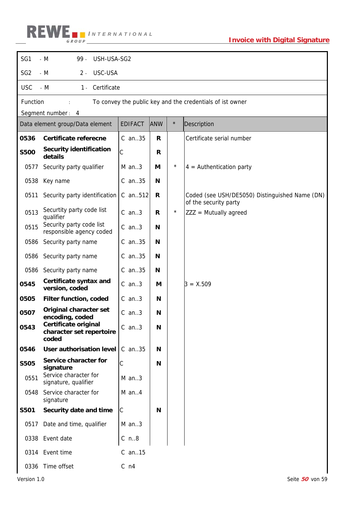| SG1             | $-M$<br>$99 -$<br>USH-USA-SG2                                    |                |            |         |                                                                         |  |  |
|-----------------|------------------------------------------------------------------|----------------|------------|---------|-------------------------------------------------------------------------|--|--|
| SG <sub>2</sub> | $-M$<br>USC-USA<br>$2 -$                                         |                |            |         |                                                                         |  |  |
| <b>USC</b>      | 1 - Certificate<br>$- M$                                         |                |            |         |                                                                         |  |  |
| Function        |                                                                  |                |            |         | To convey the public key and the credentials of ist owner               |  |  |
|                 | Segment number: 4                                                |                |            |         |                                                                         |  |  |
|                 | Data element group/Data element                                  | <b>EDIFACT</b> | <b>ANW</b> | $\star$ | Description                                                             |  |  |
| 0536            | Certificate referecne                                            | C an35         | R          |         | Certificate serial number                                               |  |  |
| <b>S500</b>     | <b>Security identification</b><br>details                        | $\mathsf C$    | R          |         |                                                                         |  |  |
| 0577            | Security party qualifier                                         | $M$ an3        | M          | $\star$ | $4 =$ Authentication party                                              |  |  |
|                 | 0538 Key name                                                    | $C$ an35       | N          |         |                                                                         |  |  |
| 0511            | Security party identification                                    | C an512        | R          |         | Coded (see USH/DE5050) Distinguished Name (DN)<br>of the security party |  |  |
| 0513            | Securtity party code list<br>qualifier                           | $C$ an3        | R.         | $\star$ | $ZZZ =$ Mutually agreed                                                 |  |  |
| 0515            | Security party code list<br>responsible agency coded             | $C$ an3        | N          |         |                                                                         |  |  |
|                 | 0586 Security party name                                         | C an35         | N          |         |                                                                         |  |  |
|                 | 0586 Security party name                                         | $C$ an35       | N          |         |                                                                         |  |  |
| 0586            | Security party name                                              | $C$ an35       | N          |         |                                                                         |  |  |
| 0545            | Certificate syntax and<br>version, coded                         | $C$ an3        | M          |         | $3 = X.509$                                                             |  |  |
| 0505            | Filter function, coded                                           | $C$ an3        | N          |         |                                                                         |  |  |
| 0507            | <b>Original character set</b><br>encoding, coded                 | $C$ an3        | N          |         |                                                                         |  |  |
| 0543            | <b>Certificate original</b><br>character set repertoire<br>coded | $C$ an3        | N          |         |                                                                         |  |  |
| 0546            | <b>User authorisation level</b>                                  | C an35         | N          |         |                                                                         |  |  |
| <b>S505</b>     | Service character for<br>signature                               | C              | N          |         |                                                                         |  |  |
| 0551            | Service character for<br>signature, qualifier                    | $M$ an3        |            |         |                                                                         |  |  |
|                 | 0548 Service character for<br>signature                          | $M$ an4        |            |         |                                                                         |  |  |
| <b>S501</b>     | Security date and time                                           | $\mathsf C$    | N          |         |                                                                         |  |  |
|                 | 0517 Date and time, qualifier                                    | $M$ an3        |            |         |                                                                         |  |  |
|                 | 0338 Event date                                                  | $C$ n8         |            |         |                                                                         |  |  |
|                 | 0314 Event time                                                  | $C$ an. 15     |            |         |                                                                         |  |  |
|                 | 0336 Time offset                                                 | $C$ n4         |            |         |                                                                         |  |  |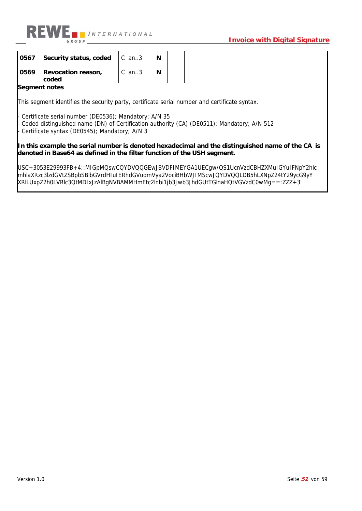

| 0567                                                                                                                                                                                                       | Security status, coded                                                                                                                                                                                                                                                      | $C$ an. $3$ | N |  |  |  |
|------------------------------------------------------------------------------------------------------------------------------------------------------------------------------------------------------------|-----------------------------------------------------------------------------------------------------------------------------------------------------------------------------------------------------------------------------------------------------------------------------|-------------|---|--|--|--|
| 0569                                                                                                                                                                                                       | Revocation reason,<br>coded                                                                                                                                                                                                                                                 | $C$ an. $3$ | N |  |  |  |
|                                                                                                                                                                                                            | <b>Segment notes</b>                                                                                                                                                                                                                                                        |             |   |  |  |  |
|                                                                                                                                                                                                            | This segment identifies the security party, certificate serial number and certificate syntax.                                                                                                                                                                               |             |   |  |  |  |
| - Certificate serial number (DE0536); Mandatory; A/N 35<br>- Coded distinguished name (DN) of Certification authority (CA) (DE0511); Mandatory; A/N 512<br>- Certificate syntax (DE0545); Mandatory; A/N 3 |                                                                                                                                                                                                                                                                             |             |   |  |  |  |
| In this example the serial number is denoted hexadecimal and the distinguished name of the CA is<br>denoted in Base64 as defined in the filter function of the USH segment.                                |                                                                                                                                                                                                                                                                             |             |   |  |  |  |
|                                                                                                                                                                                                            | USC+3053E29993FB+4::MIGpMQswCQYDVQQGEwJBVDFIMEYGA1UECqw/QS1UcnVzdCBHZXMuIGYuIFNpY2hlc<br>mhlaXRzc3lzdGVtZSBpbSBlbGVrdHIuIERhdGVudmVya2VociBHbWJIMScwJQYDVQQLDB5hLXNpZ24tY29ycG9yY<br>XRILUxpZ2h0LVRIc3QtMD1xJzAIBqNVBAMMHmEtc2lnbi1jb3Jwb3JhdGUtTGlnaHQtVGVzdC0wMq==:ZZZ+3' |             |   |  |  |  |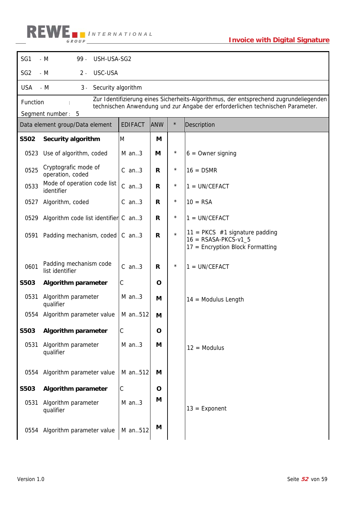| SG1             | $- M$<br>USH-USA-SG2<br>99 -               |                |              |         |                                                                                                                                                                         |  |  |  |
|-----------------|--------------------------------------------|----------------|--------------|---------|-------------------------------------------------------------------------------------------------------------------------------------------------------------------------|--|--|--|
| SG <sub>2</sub> | USC-USA<br>$-M$<br>$2 -$                   |                |              |         |                                                                                                                                                                         |  |  |  |
| <b>USA</b>      | Security algorithm<br>$-M$<br>3 -          |                |              |         |                                                                                                                                                                         |  |  |  |
| Function        |                                            |                |              |         | Zur Identifizierung eines Sicherheits-Algorithmus, der entsprechend zugrundeliegenden<br>technischen Anwendung und zur Angabe der erforderlichen technischen Parameter. |  |  |  |
|                 | Segment number: 5                          |                |              |         |                                                                                                                                                                         |  |  |  |
|                 | Data element group/Data element            | <b>EDIFACT</b> | <b>ANW</b>   | $\star$ | Description                                                                                                                                                             |  |  |  |
| <b>S502</b>     | Security algorithm                         | M              | M            |         |                                                                                                                                                                         |  |  |  |
| 0523            | Use of algorithm, coded                    | $M$ an3        | M            | $\star$ | $6 =$ Owner signing                                                                                                                                                     |  |  |  |
| 0525            | Cryptografic mode of<br>operation, coded   | $C$ an3        | R            | $\star$ | $16 =$ DSMR                                                                                                                                                             |  |  |  |
| 0533            | Mode of operation code list<br>identifier  | $C$ an3        | R            | $\star$ | $1 = UN/CEPTACT$                                                                                                                                                        |  |  |  |
| 0527            | Algorithm, coded                           | $C$ an3        | R            | $\star$ | $10 = RSA$                                                                                                                                                              |  |  |  |
| 0529            | Algorithm code list identifier C an3       |                | R            | $\star$ | $1 = UN/CEFACT$                                                                                                                                                         |  |  |  |
| 0591            | Padding mechanism, coded $\mathcal{C}$ an3 |                | $\mathsf{R}$ | $\star$ | 11 = PKCS $#1$ signature padding<br>$16 = RSASA-PKCS-v1_5$<br>17 = Encryption Block Formatting                                                                          |  |  |  |
| 0601            | Padding mechanism code<br>list identifier  | $C$ an3        | $\mathsf{R}$ | $\star$ | $1 = UN/CEFACT$                                                                                                                                                         |  |  |  |
| <b>S503</b>     | <b>Algorithm parameter</b>                 | С              | O            |         |                                                                                                                                                                         |  |  |  |
| 0531            | Algorithm parameter<br>qualifier           | $M$ an3        | M            |         | $14 =$ Modulus Length                                                                                                                                                   |  |  |  |
| 0554            | Algorithm parameter value                  | M an512        | M            |         |                                                                                                                                                                         |  |  |  |
| <b>S503</b>     | <b>Algorithm parameter</b>                 | C              | O            |         |                                                                                                                                                                         |  |  |  |
| 0531            | Algorithm parameter<br>qualifier           | $M$ an3        | M            |         | $12 = Modulus$                                                                                                                                                          |  |  |  |
| 0554            | Algorithm parameter value                  | M an512        | M            |         |                                                                                                                                                                         |  |  |  |
| <b>S503</b>     | <b>Algorithm parameter</b>                 | C              | O            |         |                                                                                                                                                                         |  |  |  |
| 0531            | Algorithm parameter<br>qualifier           | $M$ an3        | M            |         | $13 =$ Exponent                                                                                                                                                         |  |  |  |
|                 | 0554 Algorithm parameter value             | M an512        | M            |         |                                                                                                                                                                         |  |  |  |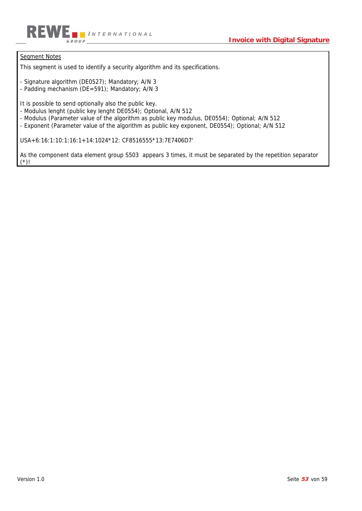#### Segment Notes

This segment is used to identify a security algorithm and its specifications.

- Signature algorithm (DE0527); Mandatory; A/N 3
- Padding mechanism (DE=591); Mandatory; A/N 3

It is possible to send optionally also the public key.

- Modulus lenght (public key lenght DE0554); Optional, A/N 512
- Modulus (Parameter value of the algorithm as public key modulus, DE0554); Optional; A/N 512
- Exponent (Parameter value of the algorithm as public key exponent, DE0554); Optional; A/N 512

USA+6:16:1:10:1:16:1+14:1024\*12: CF8516555\*13:7E7406D7'

As the component data element group S503 appears 3 times, it must be separated by the repetition separator (\*)!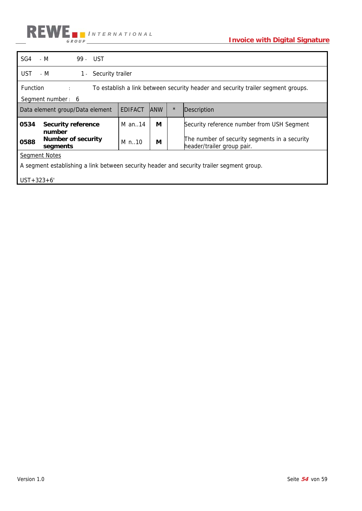| SG4<br>$-M$<br>99 - UST                                                                                             |                                                                                              |             |          |                                            |  |  |
|---------------------------------------------------------------------------------------------------------------------|----------------------------------------------------------------------------------------------|-------------|----------|--------------------------------------------|--|--|
| UST<br>- M                                                                                                          | 1 - Security trailer                                                                         |             |          |                                            |  |  |
| <b>Function</b><br>To establish a link between security header and security trailer segment groups.<br>distances in |                                                                                              |             |          |                                            |  |  |
| Segment number: 6                                                                                                   |                                                                                              |             |          |                                            |  |  |
| Data element group/Data element                                                                                     | <b>EDIFACT</b>                                                                               | <b>JANW</b> | $^\star$ | Description                                |  |  |
| 0534<br><b>Security reference</b><br>number                                                                         | $M$ an. 14                                                                                   | М           |          | Security reference number from USH Segment |  |  |
| <b>Number of security</b><br>0588<br>segments                                                                       | The number of security segments in a security<br>M $n.10$<br>М<br>header/trailer group pair. |             |          |                                            |  |  |
| <b>Segment Notes</b>                                                                                                |                                                                                              |             |          |                                            |  |  |
| A segment establishing a link between security header and security trailer segment group.                           |                                                                                              |             |          |                                            |  |  |
| $UST + 323 + 6'$                                                                                                    |                                                                                              |             |          |                                            |  |  |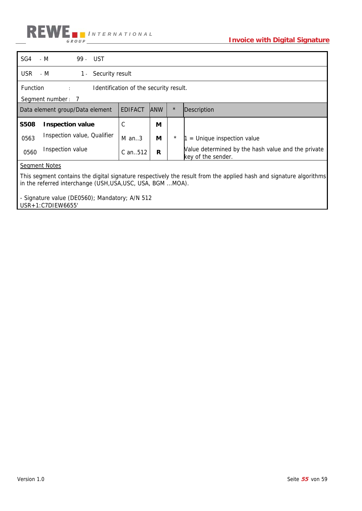| SG4                                                                                                                                                                               | - M                                                                 | 99 - UST |  |                                        |      |          |                                                                          |
|-----------------------------------------------------------------------------------------------------------------------------------------------------------------------------------|---------------------------------------------------------------------|----------|--|----------------------------------------|------|----------|--------------------------------------------------------------------------|
| <b>USR</b>                                                                                                                                                                        | - M<br>Security result<br>$1 -$                                     |          |  |                                        |      |          |                                                                          |
| Function                                                                                                                                                                          | <b>Contractor</b>                                                   |          |  | Identification of the security result. |      |          |                                                                          |
|                                                                                                                                                                                   | Segment number:                                                     | - 7      |  |                                        |      |          |                                                                          |
|                                                                                                                                                                                   | Data element group/Data element                                     |          |  | <b>EDIFACT</b>                         | IANW | $\star$  | Description                                                              |
| <b>S508</b>                                                                                                                                                                       | <b>Inspection value</b>                                             |          |  | С                                      | М    |          |                                                                          |
| 0563                                                                                                                                                                              | Inspection value, Qualifier                                         |          |  | $M$ an3                                | М    | $^\star$ | $=$ Unique inspection value                                              |
| 0560                                                                                                                                                                              | Inspection value                                                    |          |  | C an512                                | R    |          | Value determined by the hash value and the private<br>key of the sender. |
| <b>Segment Notes</b>                                                                                                                                                              |                                                                     |          |  |                                        |      |          |                                                                          |
| This segment contains the digital signature respectively the result from the applied hash and signature algorithms<br>in the referred interchange (USH, USA, USC, USA, BGM  MOA). |                                                                     |          |  |                                        |      |          |                                                                          |
|                                                                                                                                                                                   | - Signature value (DE0560); Mandatory; A/N 512<br>USR+1:C7DIEW6655' |          |  |                                        |      |          |                                                                          |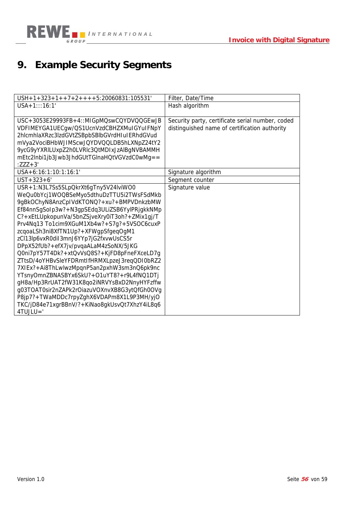

## **9. Example Security Segments**

| $USH+1+323+1++7+2++++5:20060831:105531'$      | Filter, Date/Time                                |
|-----------------------------------------------|--------------------------------------------------|
| $USA + 1::: 16:1'$                            | Hash algorithm                                   |
| USC+3053E29993FB+4::MIGpMQswCQYDVQQGEwJB      | Security party, certificate serial number, coded |
| VDFIMEYGA1UECgw/QS1UcnVzdCBHZXMuIGYuIFNpY     | distinguished name of certification authority    |
| 2hlcmhlaXRzc3lzdGVtZSBpbSBlbGVrdHIuIERhdGVud  |                                                  |
| mVya2VociBHbWJIMScwJQYDVQQLDB5hLXNpZ24tY2     |                                                  |
| 9ycG9yYXRILUxpZ2h0LVRIc3QtMDIxJzAlBgNVBAMMH   |                                                  |
| mEtc2lnbi1jb3Jwb3JhdGUtTGlnaHQtVGVzdC0wMg==   |                                                  |
| $:ZZZ+3'$                                     |                                                  |
| USA+6:16:1:10:1:16:1'                         | Signature algorithm                              |
| $UST + 323 + 6'$                              | Segment counter                                  |
| USR+1:N3L7Ss5SLpQkrXt6gTny5V24lviWO0          | Signature value                                  |
| WeQu0bYcj1WOQBSeMyo5dthuDzTTU5i2TWsFSdMkb     |                                                  |
| 9gBkOChyN8AnzCpIVdKTONQ?+xu?+BMPVDnkzbMW      |                                                  |
| Ef84nnSgSoIp3w?+N3gpSEdq3ULiZSB6YylPRjgkkNMp  |                                                  |
| C?+xEtLUpkopunVa/5bnZSjveXry0iT3oh?+ZMix1gj/T |                                                  |
| Prv4Nq13 To1cim9XGuM1Xb4w?+S7g?+5VSOC6cuxP    |                                                  |
| zcqoaLSh3ni8XfTN1Up?+XFWgpSfgeqOgM1           |                                                  |
| zCl13lp6vxR0dil3mnJ6YYp7jG2fxvwUsCS5r         |                                                  |
| DPpX52fUb?+efX7jv/pvqaALaM4zSoNX/5JKG         |                                                  |
| Q0ni7pY57T4Dk?+xtQvVsQ8S?+KjFD8pFneFXceLD7g   |                                                  |
| ZTtsD/4oYHBvSleYFDRmtIfHRMXLpzeJ3reqQDI0bRZ2  |                                                  |
| 7XIEx?+Ai8ThLwlwzMpqnP5an2pxhW3sm3nQ6pk9nc    |                                                  |
| YTsnyOmnZBNASBYx6SkU?+O1uYT8?+r9L4fNQ1DTj     |                                                  |
| gH8a/Hp3RrUAT2fW31K8qo2iNRVYsBxD2NnyHYFzffw   |                                                  |
| g03TOAT0sir2nZAPk2rOiazuVOXnvXB8G3ytQfGh0OVg  |                                                  |
| P8jp7?+TWaMDDc7rpyZghX6VDAPm8X1L9P3MH/yjO     |                                                  |
| TKC/jD84e71xgrBBnV/?+KiNao8gkUsvQt7XhzY4iL8q6 |                                                  |
| 4TUJLU='                                      |                                                  |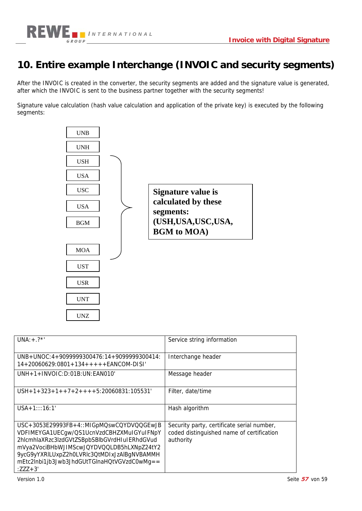

## **10. Entire example Interchange (INVOIC and security segments)**

After the INVOIC is created in the converter, the security segments are added and the signature value is generated, after which the INVOIC is sent to the business partner together with the security segments!

Signature value calculation (hash value calculation and application of the private key) is executed by the following segments:



| $UNA: + ?$                                                                                                                                                                                                                                                                                   | Service string information                                                                           |
|----------------------------------------------------------------------------------------------------------------------------------------------------------------------------------------------------------------------------------------------------------------------------------------------|------------------------------------------------------------------------------------------------------|
| $UNB+UNOC: 4+9099999300476:14+9099999300414:$<br>14+20060629:0801+134+++++EANCOM-DISI'                                                                                                                                                                                                       | Interchange header                                                                                   |
| $UNH + 1 + INVOIC: D:01B: UN: EANO10'$                                                                                                                                                                                                                                                       | Message header                                                                                       |
| $USH+1+323+1++7+2++++5:20060831:105531'$                                                                                                                                                                                                                                                     | Filter, date/time                                                                                    |
| $USA+1:::16:1'$                                                                                                                                                                                                                                                                              | Hash algorithm                                                                                       |
| USC+3053E29993FB+4::MIGpMQswCQYDVQQGEwJB<br>VDFIMEYGA1UECgw/QS1UcnVzdCBHZXMuIGYuIFNpY<br>2hlcmhlaXRzc3lzdGVtZSBpbSBlbGVrdHIuIERhdGVud<br>mVya2VociBHbWJIMScwJQYDVQQLDB5hLXNpZ24tY2<br>9ycG9yYXRILUxpZ2h0LVRlc3QtMDIxJzAlBgNVBAMMH<br>mEtc2lnbi1jb3Jwb3JhdGUtTGlnaHQtVGVzdC0wMg==<br>$ZZZ+3'$ | Security party, certificate serial number,<br>coded distinguished name of certification<br>authority |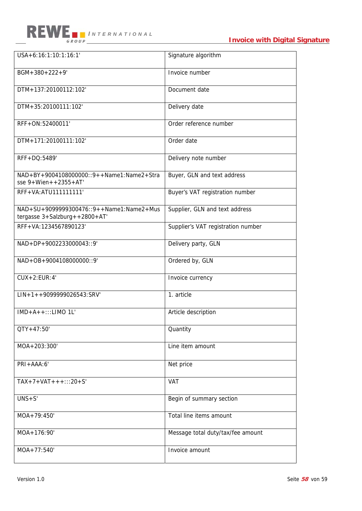

| USA+6:16:1:10:1:16:1'                                                           | Signature algorithm                |
|---------------------------------------------------------------------------------|------------------------------------|
| $BGM + 380 + 222 + 9'$                                                          | Invoice number                     |
| DTM+137:20100112:102'                                                           | Document date                      |
| DTM+35:20100111:102'                                                            | Delivery date                      |
| RFF+ON:52400011'                                                                | Order reference number             |
| DTM+171:20100111:102'                                                           | Order date                         |
| RFF+DQ:5489'                                                                    | Delivery note number               |
| $NAD + BY + 9004108000000::9++Name1:Name2+Stra$<br>$sse 9 + Wien + 2355 + AT'$  | Buyer, GLN and text address        |
| RFF+VA: ATU111111111'                                                           | Buyer's VAT registration number    |
| $NAD + SU + 9099999300476::9++Name1:Name2+Mus$<br>tergasse 3+Salzburg++2800+AT' | Supplier, GLN and text address     |
| RFF+VA:1234567890123'                                                           | Supplier's VAT registration number |
| NAD+DP+9002233000043::9'                                                        | Delivery party, GLN                |
| NAD+OB+9004108000000::9'                                                        | Ordered by, GLN                    |
| $CUX+2:EUR:4'$                                                                  | Invoice currency                   |
| $LIN+1++9099999026543:SRV'$                                                     | 1. article                         |
| $IMD+A++:::LIMO 1L'$                                                            | Article description                |
| $QTY + 47:50'$                                                                  | Quantity                           |
| MOA+203:300'                                                                    | Line item amount                   |
| PRI+AAA:6'                                                                      | Net price                          |
| $TAX+7+VAT++$ :::20+S'                                                          | VAT                                |
| $UNS + S'$                                                                      | Begin of summary section           |
| MOA+79:450'                                                                     | Total line items amount            |
| MOA+176:90'                                                                     | Message total duty/tax/fee amount  |
| MOA+77:540'                                                                     | Invoice amount                     |